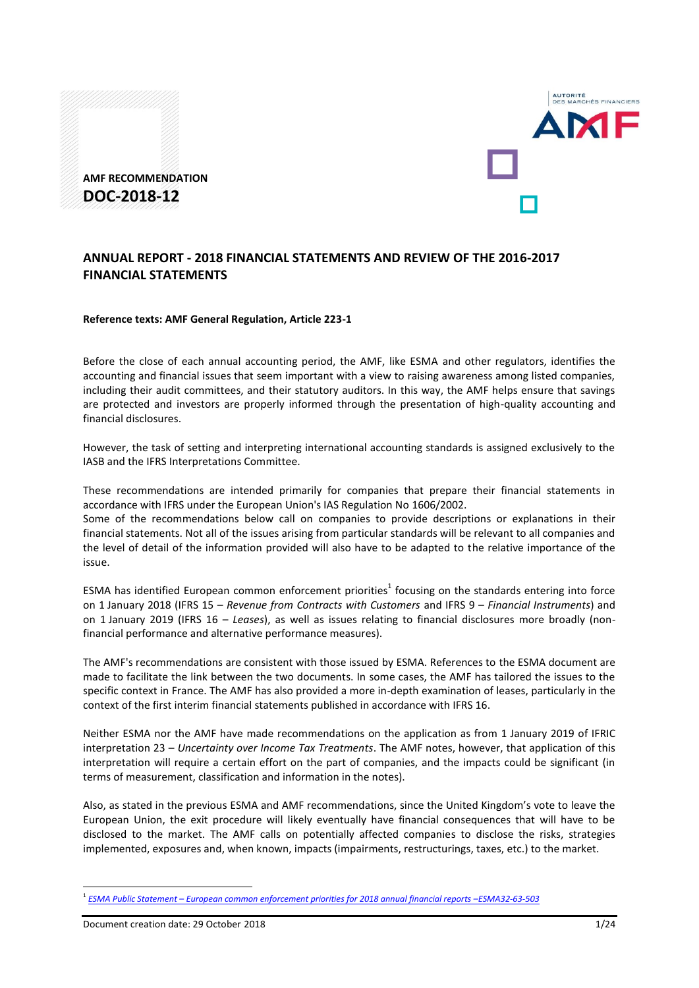



#### **Reference texts: AMF General Regulation, Article 223-1**

Before the close of each annual accounting period, the AMF, like ESMA and other regulators, identifies the accounting and financial issues that seem important with a view to raising awareness among listed companies, including their audit committees, and their statutory auditors. In this way, the AMF helps ensure that savings are protected and investors are properly informed through the presentation of high-quality accounting and financial disclosures.

However, the task of setting and interpreting international accounting standards is assigned exclusively to the IASB and the IFRS Interpretations Committee.

These recommendations are intended primarily for companies that prepare their financial statements in accordance with IFRS under the European Union's IAS Regulation No 1606/2002. Some of the recommendations below call on companies to provide descriptions or explanations in their

financial statements. Not all of the issues arising from particular standards will be relevant to all companies and the level of detail of the information provided will also have to be adapted to the relative importance of the issue.

ESMA has identified European common enforcement priorities<sup>1</sup> focusing on the standards entering into force on 1 January 2018 (IFRS 15 – *Revenue from Contracts with Customers* and IFRS 9 – *Financial Instruments*) and on 1 January 2019 (IFRS 16 – *Leases*), as well as issues relating to financial disclosures more broadly (nonfinancial performance and alternative performance measures).

The AMF's recommendations are consistent with those issued by ESMA. References to the ESMA document are made to facilitate the link between the two documents. In some cases, the AMF has tailored the issues to the specific context in France. The AMF has also provided a more in-depth examination of leases, particularly in the context of the first interim financial statements published in accordance with IFRS 16.

Neither ESMA nor the AMF have made recommendations on the application as from 1 January 2019 of IFRIC interpretation 23 – *Uncertainty over Income Tax Treatments*. The AMF notes, however, that application of this interpretation will require a certain effort on the part of companies, and the impacts could be significant (in terms of measurement, classification and information in the notes).

Also, as stated in the previous ESMA and AMF recommendations, since the United Kingdom's vote to leave the European Union, the exit procedure will likely eventually have financial consequences that will have to be disclosed to the market. The AMF calls on potentially affected companies to disclose the risks, strategies implemented, exposures and, when known, impacts (impairments, restructurings, taxes, etc.) to the market.

1

L<br>CHÉE EIN ANCIEDE

<sup>1</sup> *ESMA Public Statement – [European common enforcement priorities for 2018 annual financial reports](https://www.esma.europa.eu/file/49569/download?token=2RHXiEfy) –ESMA32-63-503*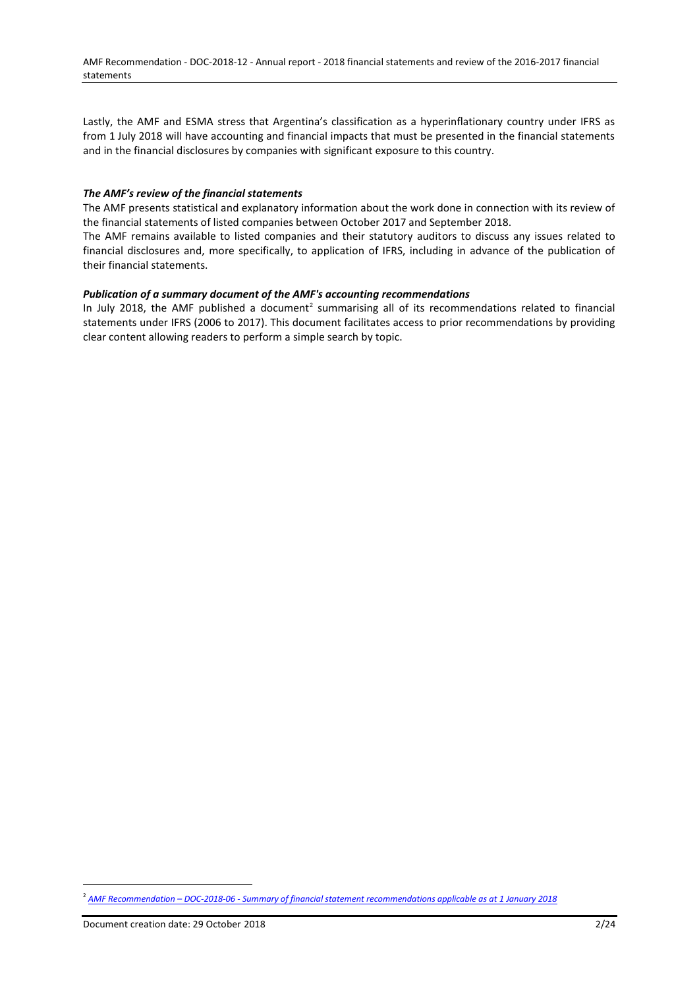Lastly, the AMF and ESMA stress that Argentina's classification as a hyperinflationary country under IFRS as from 1 July 2018 will have accounting and financial impacts that must be presented in the financial statements and in the financial disclosures by companies with significant exposure to this country.

### *The AMF's review of the financial statements*

The AMF presents statistical and explanatory information about the work done in connection with its review of the financial statements of listed companies between October 2017 and September 2018.

The AMF remains available to listed companies and their statutory auditors to discuss any issues related to financial disclosures and, more specifically, to application of IFRS, including in advance of the publication of their financial statements.

### *Publication of a summary document of the AMF's accounting recommendations*

In July 2018, the AMF published a document<sup>2</sup> summarising all of its recommendations related to financial statements under IFRS (2006 to 2017). This document facilitates access to prior recommendations by providing clear content allowing readers to perform a simple search by topic.

<sup>2</sup> *AMF Recommendation – DOC-2018-06 - [Summary of financial statement recommendations applicable as at 1](https://www.amf-france.org/Reglementation/Doctrine/Doctrine-list/Doctrine?docId=workspace://SpacesStore/30f2404e-b601-4823-9ec5-fe85dff9699f&category=I+-+Emetteurs+et+information+financière) January 2018*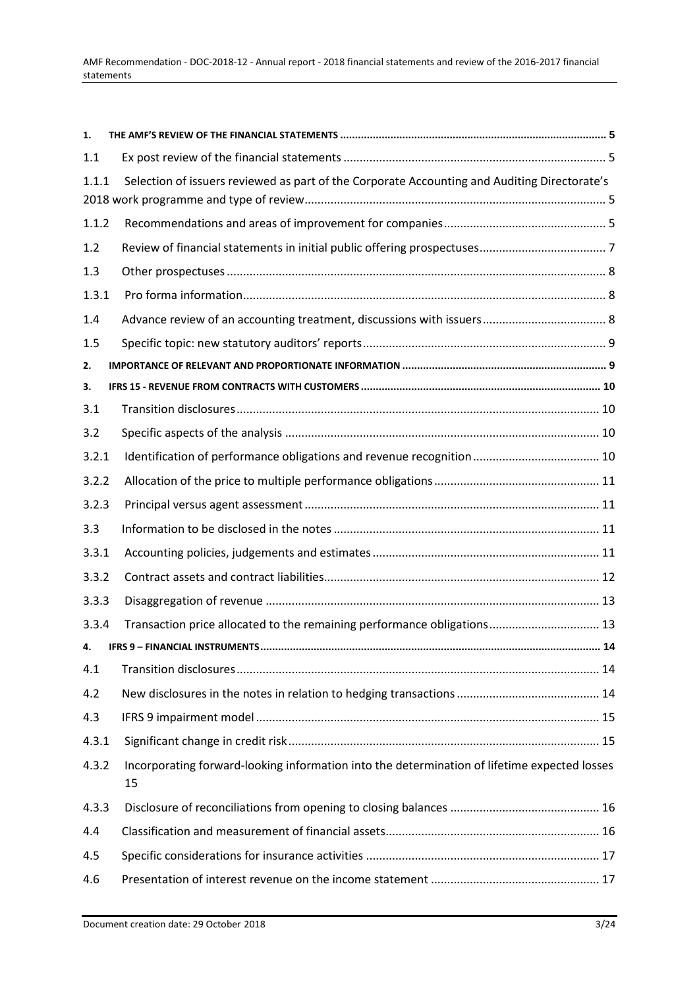| 1.    |                                                                                                    |  |
|-------|----------------------------------------------------------------------------------------------------|--|
| 1.1   |                                                                                                    |  |
| 1.1.1 | Selection of issuers reviewed as part of the Corporate Accounting and Auditing Directorate's       |  |
| 1.1.2 |                                                                                                    |  |
| 1.2   |                                                                                                    |  |
| 1.3   |                                                                                                    |  |
| 1.3.1 |                                                                                                    |  |
| 1.4   |                                                                                                    |  |
| 1.5   |                                                                                                    |  |
| 2.    |                                                                                                    |  |
| з.    |                                                                                                    |  |
| 3.1   |                                                                                                    |  |
| 3.2   |                                                                                                    |  |
| 3.2.1 |                                                                                                    |  |
| 3.2.2 |                                                                                                    |  |
| 3.2.3 |                                                                                                    |  |
| 3.3   |                                                                                                    |  |
| 3.3.1 |                                                                                                    |  |
| 3.3.2 |                                                                                                    |  |
| 3.3.3 |                                                                                                    |  |
| 3.3.4 | Transaction price allocated to the remaining performance obligations 13                            |  |
| 4.    |                                                                                                    |  |
| 4.1   |                                                                                                    |  |
| 4.2   |                                                                                                    |  |
| 4.3   |                                                                                                    |  |
| 4.3.1 |                                                                                                    |  |
| 4.3.2 | Incorporating forward-looking information into the determination of lifetime expected losses<br>15 |  |
| 4.3.3 |                                                                                                    |  |
| 4.4   |                                                                                                    |  |
| 4.5   |                                                                                                    |  |
| 4.6   |                                                                                                    |  |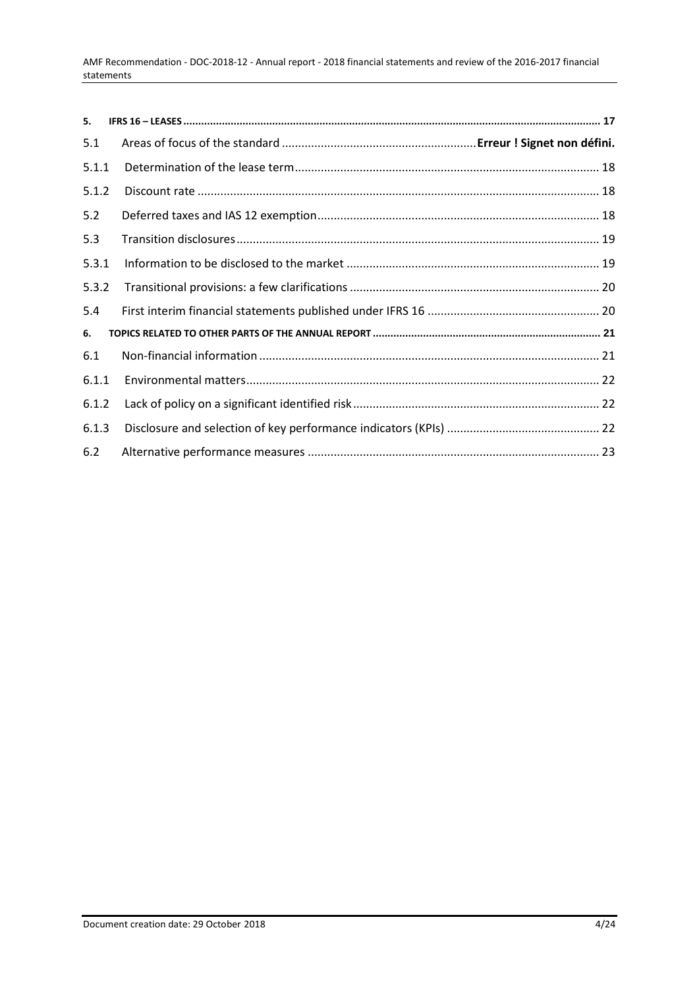| 5.    |  |
|-------|--|
| 5.1   |  |
| 5.1.1 |  |
| 5.1.2 |  |
| 5.2   |  |
| 5.3   |  |
| 5.3.1 |  |
| 5.3.2 |  |
| 5.4   |  |
| 6.    |  |
| 6.1   |  |
| 6.1.1 |  |
| 6.1.2 |  |
| 6.1.3 |  |
| 6.2   |  |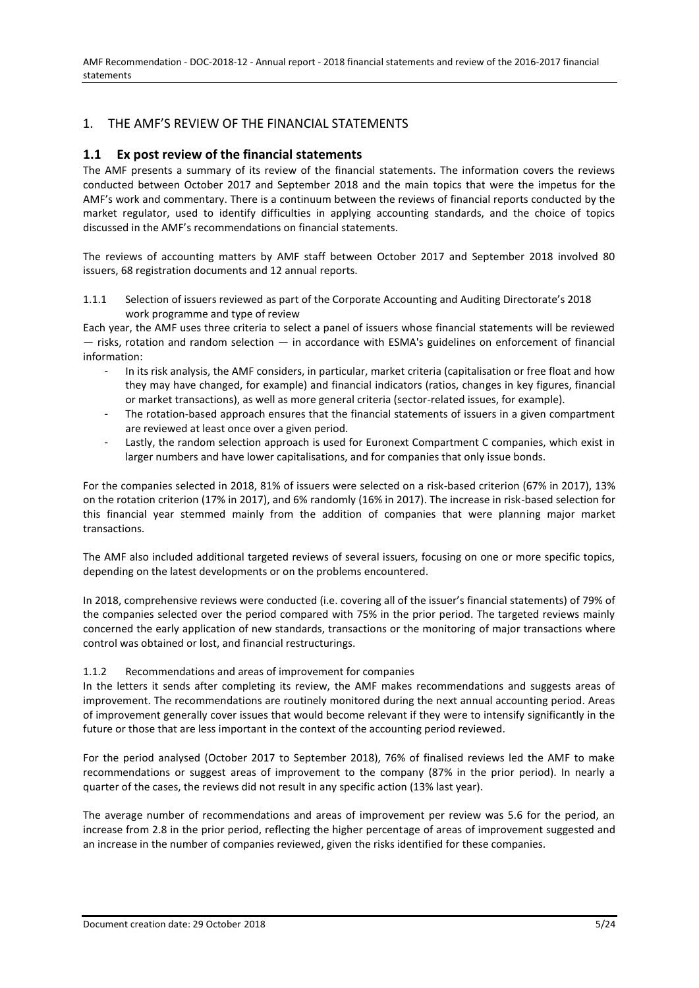# <span id="page-4-0"></span>1. THE AMF'S REVIEW OF THE FINANCIAL STATEMENTS

# <span id="page-4-1"></span>**1.1 Ex post review of the financial statements**

The AMF presents a summary of its review of the financial statements. The information covers the reviews conducted between October 2017 and September 2018 and the main topics that were the impetus for the AMF's work and commentary. There is a continuum between the reviews of financial reports conducted by the market regulator, used to identify difficulties in applying accounting standards, and the choice of topics discussed in the AMF's recommendations on financial statements.

The reviews of accounting matters by AMF staff between October 2017 and September 2018 involved 80 issuers, 68 registration documents and 12 annual reports.

<span id="page-4-2"></span>1.1.1 Selection of issuers reviewed as part of the Corporate Accounting and Auditing Directorate's 2018 work programme and type of review

Each year, the AMF uses three criteria to select a panel of issuers whose financial statements will be reviewed — risks, rotation and random selection — in accordance with ESMA's guidelines on enforcement of financial information:

- In its risk analysis, the AMF considers, in particular, market criteria (capitalisation or free float and how they may have changed, for example) and financial indicators (ratios, changes in key figures, financial or market transactions), as well as more general criteria (sector-related issues, for example).
- The rotation-based approach ensures that the financial statements of issuers in a given compartment are reviewed at least once over a given period.
- Lastly, the random selection approach is used for Euronext Compartment C companies, which exist in larger numbers and have lower capitalisations, and for companies that only issue bonds.

For the companies selected in 2018, 81% of issuers were selected on a risk-based criterion (67% in 2017), 13% on the rotation criterion (17% in 2017), and 6% randomly (16% in 2017). The increase in risk-based selection for this financial year stemmed mainly from the addition of companies that were planning major market transactions.

The AMF also included additional targeted reviews of several issuers, focusing on one or more specific topics, depending on the latest developments or on the problems encountered.

In 2018, comprehensive reviews were conducted (i.e. covering all of the issuer's financial statements) of 79% of the companies selected over the period compared with 75% in the prior period. The targeted reviews mainly concerned the early application of new standards, transactions or the monitoring of major transactions where control was obtained or lost, and financial restructurings.

#### <span id="page-4-3"></span>1.1.2 Recommendations and areas of improvement for companies

In the letters it sends after completing its review, the AMF makes recommendations and suggests areas of improvement. The recommendations are routinely monitored during the next annual accounting period. Areas of improvement generally cover issues that would become relevant if they were to intensify significantly in the future or those that are less important in the context of the accounting period reviewed.

For the period analysed (October 2017 to September 2018), 76% of finalised reviews led the AMF to make recommendations or suggest areas of improvement to the company (87% in the prior period). In nearly a quarter of the cases, the reviews did not result in any specific action (13% last year).

The average number of recommendations and areas of improvement per review was 5.6 for the period, an increase from 2.8 in the prior period, reflecting the higher percentage of areas of improvement suggested and an increase in the number of companies reviewed, given the risks identified for these companies.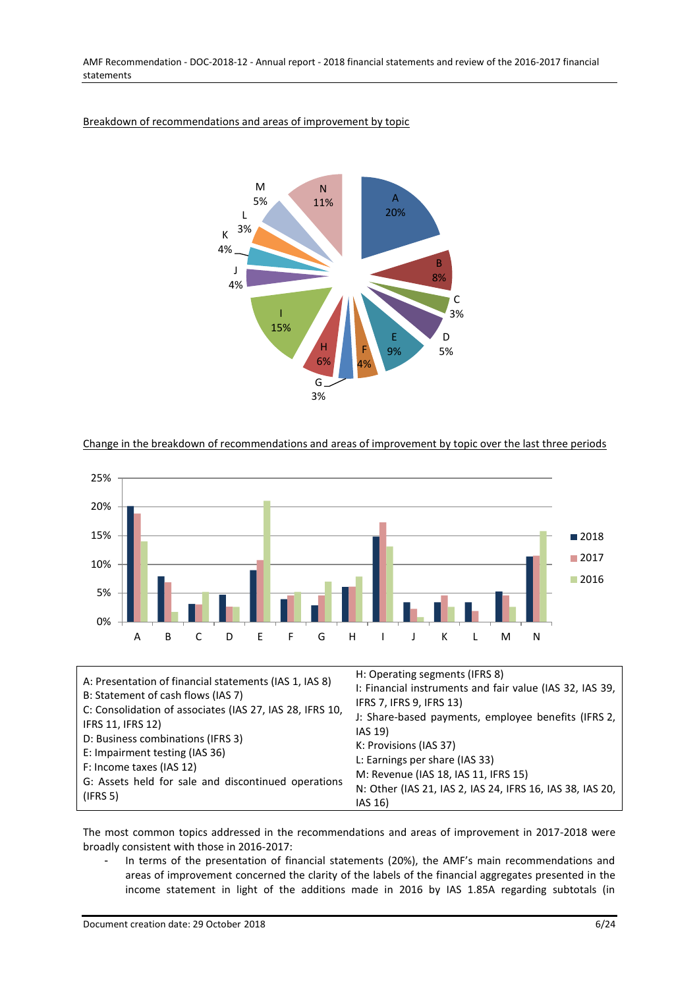

## Breakdown of recommendations and areas of improvement by topic

### Change in the breakdown of recommendations and areas of improvement by topic over the last three periods



The most common topics addressed in the recommendations and areas of improvement in 2017-2018 were broadly consistent with those in 2016-2017:

- In terms of the presentation of financial statements (20%), the AMF's main recommendations and areas of improvement concerned the clarity of the labels of the financial aggregates presented in the income statement in light of the additions made in 2016 by IAS 1.85A regarding subtotals (in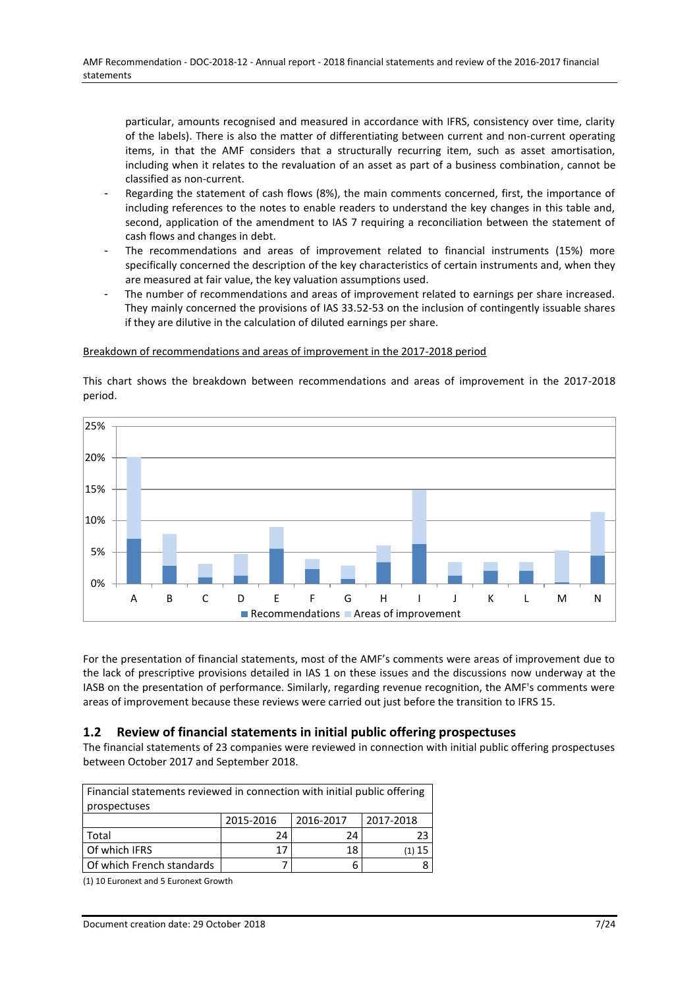particular, amounts recognised and measured in accordance with IFRS, consistency over time, clarity of the labels). There is also the matter of differentiating between current and non-current operating items, in that the AMF considers that a structurally recurring item, such as asset amortisation, including when it relates to the revaluation of an asset as part of a business combination, cannot be classified as non-current.

- Regarding the statement of cash flows (8%), the main comments concerned, first, the importance of including references to the notes to enable readers to understand the key changes in this table and, second, application of the amendment to IAS 7 requiring a reconciliation between the statement of cash flows and changes in debt.
- The recommendations and areas of improvement related to financial instruments (15%) more specifically concerned the description of the key characteristics of certain instruments and, when they are measured at fair value, the key valuation assumptions used.
- The number of recommendations and areas of improvement related to earnings per share increased. They mainly concerned the provisions of IAS 33.52-53 on the inclusion of contingently issuable shares if they are dilutive in the calculation of diluted earnings per share.

#### Breakdown of recommendations and areas of improvement in the 2017-2018 period



This chart shows the breakdown between recommendations and areas of improvement in the 2017-2018 period.

For the presentation of financial statements, most of the AMF's comments were areas of improvement due to the lack of prescriptive provisions detailed in IAS 1 on these issues and the discussions now underway at the IASB on the presentation of performance. Similarly, regarding revenue recognition, the AMF's comments were areas of improvement because these reviews were carried out just before the transition to IFRS 15.

# <span id="page-6-0"></span>**1.2 Review of financial statements in initial public offering prospectuses**

The financial statements of 23 companies were reviewed in connection with initial public offering prospectuses between October 2017 and September 2018.

| Financial statements reviewed in connection with initial public offering |           |           |           |  |  |  |  |
|--------------------------------------------------------------------------|-----------|-----------|-----------|--|--|--|--|
| prospectuses                                                             |           |           |           |  |  |  |  |
|                                                                          | 2015-2016 | 2016-2017 | 2017-2018 |  |  |  |  |
| Total                                                                    | 24        | 24        | 23        |  |  |  |  |
| Of which IFRS                                                            | 17        | 18        | (1) 15    |  |  |  |  |
| Of which French standards                                                |           | b         |           |  |  |  |  |

(1) 10 Euronext and 5 Euronext Growth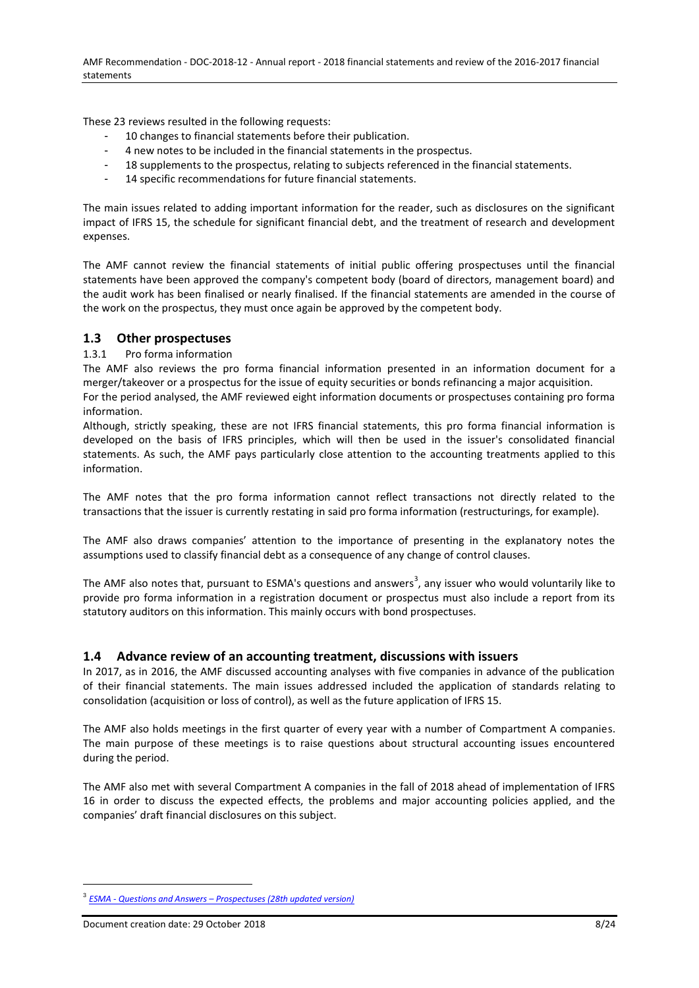These 23 reviews resulted in the following requests:

- 10 changes to financial statements before their publication.
- 4 new notes to be included in the financial statements in the prospectus.
- 18 supplements to the prospectus, relating to subjects referenced in the financial statements.
- 14 specific recommendations for future financial statements.

The main issues related to adding important information for the reader, such as disclosures on the significant impact of IFRS 15, the schedule for significant financial debt, and the treatment of research and development expenses.

The AMF cannot review the financial statements of initial public offering prospectuses until the financial statements have been approved the company's competent body (board of directors, management board) and the audit work has been finalised or nearly finalised. If the financial statements are amended in the course of the work on the prospectus, they must once again be approved by the competent body.

# <span id="page-7-0"></span>**1.3 Other prospectuses**

### <span id="page-7-1"></span>1.3.1 Pro forma information

The AMF also reviews the pro forma financial information presented in an information document for a merger/takeover or a prospectus for the issue of equity securities or bonds refinancing a major acquisition.

For the period analysed, the AMF reviewed eight information documents or prospectuses containing pro forma information.

Although, strictly speaking, these are not IFRS financial statements, this pro forma financial information is developed on the basis of IFRS principles, which will then be used in the issuer's consolidated financial statements. As such, the AMF pays particularly close attention to the accounting treatments applied to this information.

The AMF notes that the pro forma information cannot reflect transactions not directly related to the transactions that the issuer is currently restating in said pro forma information (restructurings, for example).

The AMF also draws companies' attention to the importance of presenting in the explanatory notes the assumptions used to classify financial debt as a consequence of any change of control clauses.

The AMF also notes that, pursuant to ESMA's questions and answers<sup>3</sup>, any issuer who would voluntarily like to provide pro forma information in a registration document or prospectus must also include a report from its statutory auditors on this information. This mainly occurs with bond prospectuses.

## <span id="page-7-2"></span>**1.4 Advance review of an accounting treatment, discussions with issuers**

In 2017, as in 2016, the AMF discussed accounting analyses with five companies in advance of the publication of their financial statements. The main issues addressed included the application of standards relating to consolidation (acquisition or loss of control), as well as the future application of IFRS 15.

The AMF also holds meetings in the first quarter of every year with a number of Compartment A companies. The main purpose of these meetings is to raise questions about structural accounting issues encountered during the period.

The AMF also met with several Compartment A companies in the fall of 2018 ahead of implementation of IFRS 16 in order to discuss the expected effects, the problems and major accounting policies applied, and the companies' draft financial disclosures on this subject.

<sup>3</sup> *ESMA - Questions and Answers – [Prospectuses \(28th updated version\)](https://www.esma.europa.eu/sites/default/files/library/esma31-62-780_qa_on_prospectus_related_topics.pdf)*

Document creation date: 29 October 2018 8/24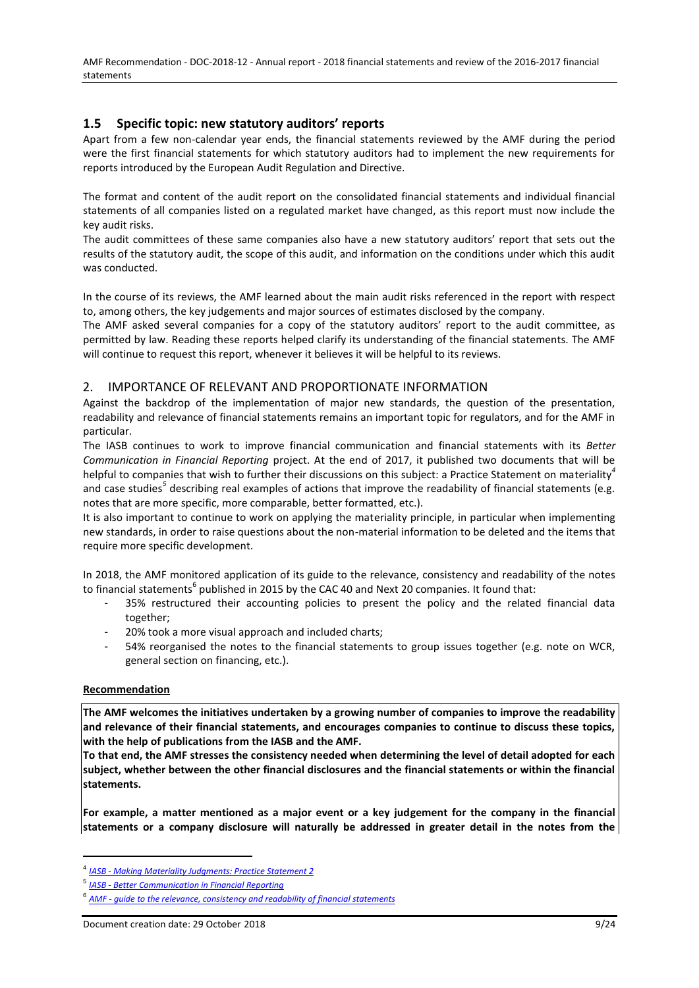AMF Recommendation - DOC-2018-12 - Annual report - 2018 financial statements and review of the 2016-2017 financial statements

# <span id="page-8-0"></span>**1.5 Specific topic: new statutory auditors' reports**

Apart from a few non-calendar year ends, the financial statements reviewed by the AMF during the period were the first financial statements for which statutory auditors had to implement the new requirements for reports introduced by the European Audit Regulation and Directive.

The format and content of the audit report on the consolidated financial statements and individual financial statements of all companies listed on a regulated market have changed, as this report must now include the key audit risks.

The audit committees of these same companies also have a new statutory auditors' report that sets out the results of the statutory audit, the scope of this audit, and information on the conditions under which this audit was conducted.

In the course of its reviews, the AMF learned about the main audit risks referenced in the report with respect to, among others, the key judgements and major sources of estimates disclosed by the company.

The AMF asked several companies for a copy of the statutory auditors' report to the audit committee, as permitted by law. Reading these reports helped clarify its understanding of the financial statements. The AMF will continue to request this report, whenever it believes it will be helpful to its reviews.

## <span id="page-8-1"></span>2. IMPORTANCE OF RELEVANT AND PROPORTIONATE INFORMATION

Against the backdrop of the implementation of major new standards, the question of the presentation, readability and relevance of financial statements remains an important topic for regulators, and for the AMF in particular.

The IASB continues to work to improve financial communication and financial statements with its *Better Communication in Financial Reporting* project. At the end of 2017, it published two documents that will be helpful to companies that wish to further their discussions on this subject: a Practice Statement on materiality*<sup>4</sup>* and case studies<sup>5</sup> describing real examples of actions that improve the readability of financial statements (e.g. notes that are more specific, more comparable, better formatted, etc.).

It is also important to continue to work on applying the materiality principle, in particular when implementing new standards, in order to raise questions about the non-material information to be deleted and the items that require more specific development.

In 2018, the AMF monitored application of its guide to the relevance, consistency and readability of the notes to financial statements<sup>6</sup> published in 2015 by the CAC 40 and Next 20 companies. It found that:

- 35% restructured their accounting policies to present the policy and the related financial data together;
- 20% took a more visual approach and included charts;
- 54% reorganised the notes to the financial statements to group issues together (e.g. note on WCR, general section on financing, etc.).

#### **Recommendation**

 $\overline{a}$ 

**The AMF welcomes the initiatives undertaken by a growing number of companies to improve the readability and relevance of their financial statements, and encourages companies to continue to discuss these topics, with the help of publications from the IASB and the AMF.** 

**To that end, the AMF stresses the consistency needed when determining the level of detail adopted for each subject, whether between the other financial disclosures and the financial statements or within the financial statements.**

**For example, a matter mentioned as a major event or a key judgement for the company in the financial statements or a company disclosure will naturally be addressed in greater detail in the notes from the** 

<sup>4</sup> *IASB - [Making Materiality Judgments:](https://www.ifrs.org/issued-standards/materiality-practice-statement/) [Practice Statement 2](https://www.ifrs.org/issued-standards/materiality-practice-statement/)*

<sup>5</sup> *IASB - [Better Communication in Financial Reporting](https://www.ifrs.org/-/media/project/disclosure-initative/better-communication-making-disclosures-more-meaningful.pdf?la=en)*

<sup>6</sup> *AMF - [guide to the relevance, consistency and readability of financial statements](https://www.amf-france.org/Publications/Guides/Professionnels?docId=workspace://SpacesStore/867e30e0-807f-437c-af31-ee2686d81c4e)*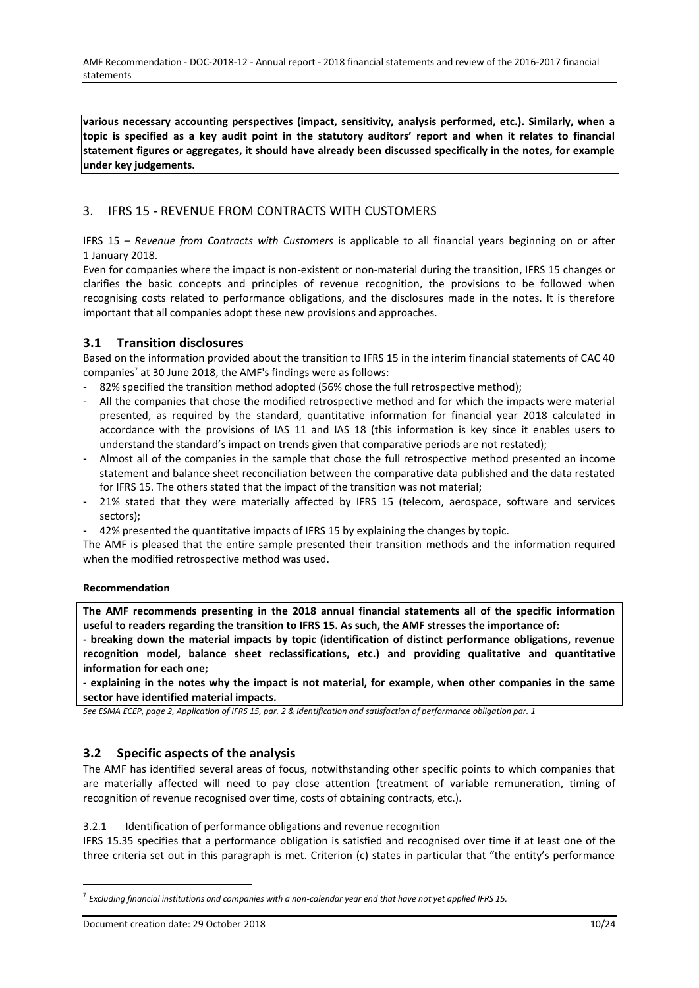**various necessary accounting perspectives (impact, sensitivity, analysis performed, etc.). Similarly, when a topic is specified as a key audit point in the statutory auditors' report and when it relates to financial statement figures or aggregates, it should have already been discussed specifically in the notes, for example under key judgements.**

# <span id="page-9-0"></span>3. IFRS 15 - REVENUE FROM CONTRACTS WITH CUSTOMERS

IFRS 15 – *Revenue from Contracts with Customers* is applicable to all financial years beginning on or after 1 January 2018.

Even for companies where the impact is non-existent or non-material during the transition, IFRS 15 changes or clarifies the basic concepts and principles of revenue recognition, the provisions to be followed when recognising costs related to performance obligations, and the disclosures made in the notes. It is therefore important that all companies adopt these new provisions and approaches.

# <span id="page-9-1"></span>**3.1 Transition disclosures**

Based on the information provided about the transition to IFRS 15 in the interim financial statements of CAC 40 companies<sup>7</sup> at 30 June 2018, the AMF's findings were as follows:

- 82% specified the transition method adopted (56% chose the full retrospective method);
- All the companies that chose the modified retrospective method and for which the impacts were material presented, as required by the standard, quantitative information for financial year 2018 calculated in accordance with the provisions of IAS 11 and IAS 18 (this information is key since it enables users to understand the standard's impact on trends given that comparative periods are not restated);
- Almost all of the companies in the sample that chose the full retrospective method presented an income statement and balance sheet reconciliation between the comparative data published and the data restated for IFRS 15. The others stated that the impact of the transition was not material;
- 21% stated that they were materially affected by IFRS 15 (telecom, aerospace, software and services sectors);
- 42% presented the quantitative impacts of IFRS 15 by explaining the changes by topic.

The AMF is pleased that the entire sample presented their transition methods and the information required when the modified retrospective method was used.

## **Recommendation**

**The AMF recommends presenting in the 2018 annual financial statements all of the specific information useful to readers regarding the transition to IFRS 15. As such, the AMF stresses the importance of:** 

**- breaking down the material impacts by topic (identification of distinct performance obligations, revenue recognition model, balance sheet reclassifications, etc.) and providing qualitative and quantitative information for each one;**

**- explaining in the notes why the impact is not material, for example, when other companies in the same sector have identified material impacts.**

*See ESMA ECEP, page 2, Application of IFRS 15, par. 2 & Identification and satisfaction of performance obligation par. 1*

# <span id="page-9-2"></span>**3.2 Specific aspects of the analysis**

The AMF has identified several areas of focus, notwithstanding other specific points to which companies that are materially affected will need to pay close attention (treatment of variable remuneration, timing of recognition of revenue recognised over time, costs of obtaining contracts, etc.).

<span id="page-9-3"></span>3.2.1 Identification of performance obligations and revenue recognition

IFRS 15.35 specifies that a performance obligation is satisfied and recognised over time if at least one of the three criteria set out in this paragraph is met. Criterion (c) states in particular that "the entity's performance

<sup>7</sup> *Excluding financial institutions and companies with a non-calendar year end that have not yet applied IFRS 15.*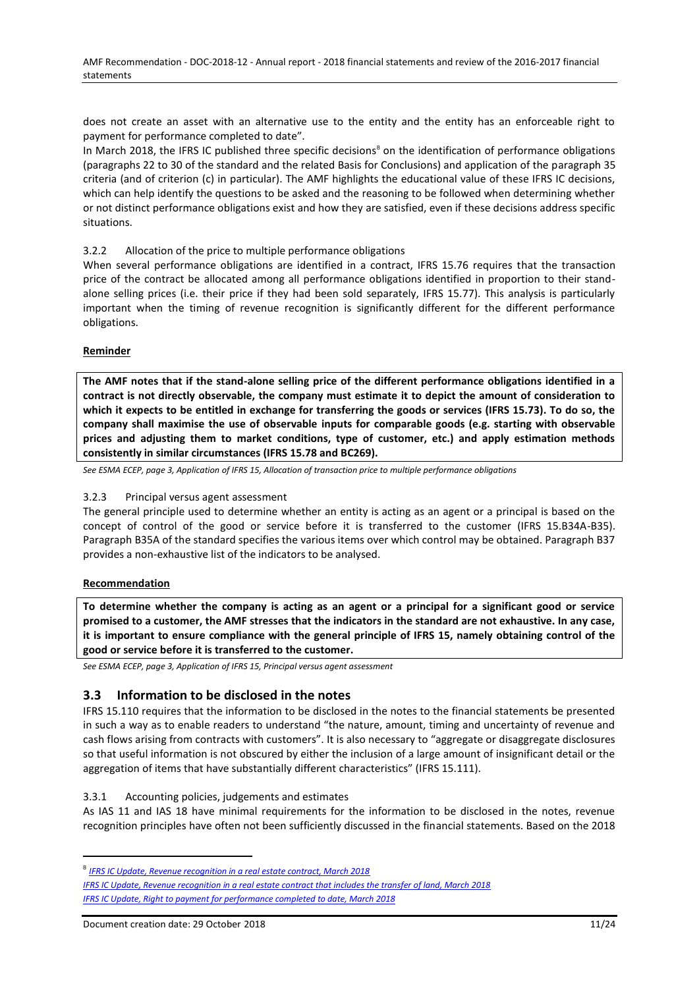does not create an asset with an alternative use to the entity and the entity has an enforceable right to payment for performance completed to date".

In March 2018, the IFRS IC published three specific decisions<sup>8</sup> on the identification of performance obligations (paragraphs 22 to 30 of the standard and the related Basis for Conclusions) and application of the paragraph 35 criteria (and of criterion (c) in particular). The AMF highlights the educational value of these IFRS IC decisions, which can help identify the questions to be asked and the reasoning to be followed when determining whether or not distinct performance obligations exist and how they are satisfied, even if these decisions address specific situations.

## <span id="page-10-0"></span>3.2.2 Allocation of the price to multiple performance obligations

When several performance obligations are identified in a contract, IFRS 15.76 requires that the transaction price of the contract be allocated among all performance obligations identified in proportion to their standalone selling prices (i.e. their price if they had been sold separately, IFRS 15.77). This analysis is particularly important when the timing of revenue recognition is significantly different for the different performance obligations.

### **Reminder**

**The AMF notes that if the stand-alone selling price of the different performance obligations identified in a contract is not directly observable, the company must estimate it to depict the amount of consideration to which it expects to be entitled in exchange for transferring the goods or services (IFRS 15.73). To do so, the company shall maximise the use of observable inputs for comparable goods (e.g. starting with observable prices and adjusting them to market conditions, type of customer, etc.) and apply estimation methods consistently in similar circumstances (IFRS 15.78 and BC269).**

*See ESMA ECEP, page 3, Application of IFRS 15, Allocation of transaction price to multiple performance obligations*

#### <span id="page-10-1"></span>3.2.3 Principal versus agent assessment

The general principle used to determine whether an entity is acting as an agent or a principal is based on the concept of control of the good or service before it is transferred to the customer (IFRS 15.B34A-B35). Paragraph B35A of the standard specifies the various items over which control may be obtained. Paragraph B37 provides a non-exhaustive list of the indicators to be analysed.

#### **Recommendation**

 $\overline{a}$ 

**To determine whether the company is acting as an agent or a principal for a significant good or service promised to a customer, the AMF stresses that the indicators in the standard are not exhaustive. In any case, it is important to ensure compliance with the general principle of IFRS 15, namely obtaining control of the good or service before it is transferred to the customer.** 

*See ESMA ECEP, page 3, Application of IFRS 15, Principal versus agent assessment*

# <span id="page-10-2"></span>**3.3 Information to be disclosed in the notes**

IFRS 15.110 requires that the information to be disclosed in the notes to the financial statements be presented in such a way as to enable readers to understand "the nature, amount, timing and uncertainty of revenue and cash flows arising from contracts with customers". It is also necessary to "aggregate or disaggregate disclosures so that useful information is not obscured by either the inclusion of a large amount of insignificant detail or the aggregation of items that have substantially different characteristics" (IFRS 15.111).

#### <span id="page-10-3"></span>3.3.1 Accounting policies, judgements and estimates

As IAS 11 and IAS 18 have minimal requirements for the information to be disclosed in the notes, revenue recognition principles have often not been sufficiently discussed in the financial statements. Based on the 2018

<sup>8</sup> *[IFRS IC Update, Revenue recognition in a real estate contract, March 2018](https://www.ifrs.org/news-and-events/updates/ifric-updates/march-2018/#8)*

*[IFRS IC Update, Revenue recognition in a real estate contract that includes the transfer of land, March 2018](https://www.ifrs.org/news-and-events/updates/ifric-updates/march-2018/#https://www.ifrs.org/news-and-events/updates/ifric-updates/march-2018/) [IFRS IC Update, Right to payment for performance completed to date, March 2018](https://www.ifrs.org/news-and-events/updates/ifric-updates/march-2018/#10)*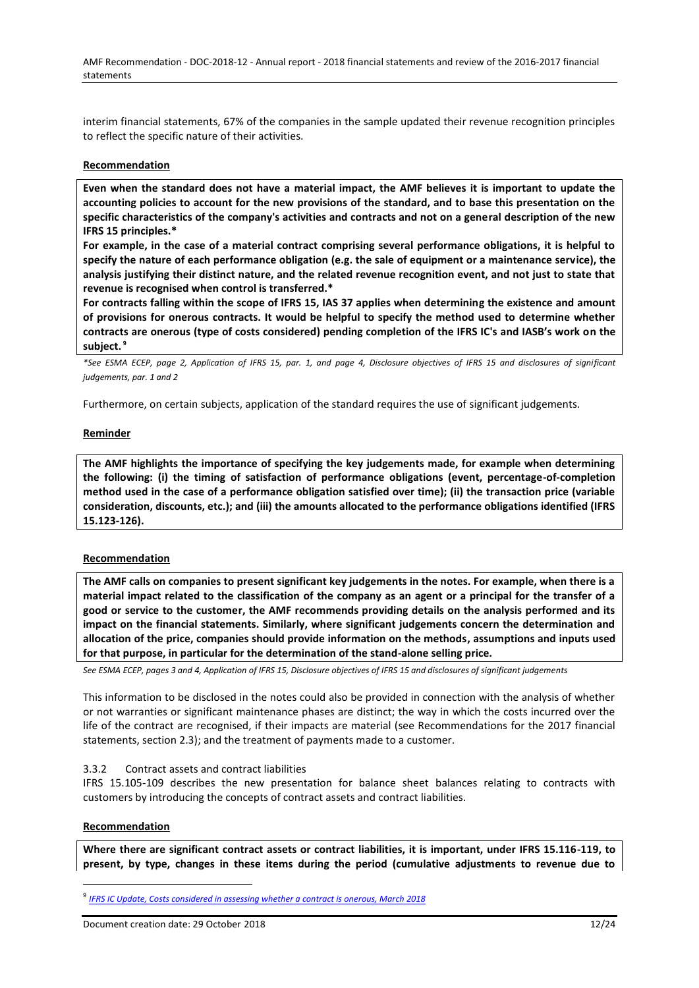interim financial statements, 67% of the companies in the sample updated their revenue recognition principles to reflect the specific nature of their activities.

#### **Recommendation**

**Even when the standard does not have a material impact, the AMF believes it is important to update the accounting policies to account for the new provisions of the standard, and to base this presentation on the specific characteristics of the company's activities and contracts and not on a general description of the new IFRS 15 principles.\***

**For example, in the case of a material contract comprising several performance obligations, it is helpful to specify the nature of each performance obligation (e.g. the sale of equipment or a maintenance service), the analysis justifying their distinct nature, and the related revenue recognition event, and not just to state that revenue is recognised when control is transferred.\***

**For contracts falling within the scope of IFRS 15, IAS 37 applies when determining the existence and amount of provisions for onerous contracts. It would be helpful to specify the method used to determine whether contracts are onerous (type of costs considered) pending completion of the IFRS IC's and IASB's work on the subject. <sup>9</sup>**

*\*See ESMA ECEP, page 2, Application of IFRS 15, par. 1, and page 4, Disclosure objectives of IFRS 15 and disclosures of significant judgements, par. 1 and 2*

Furthermore, on certain subjects, application of the standard requires the use of significant judgements.

#### **Reminder**

**The AMF highlights the importance of specifying the key judgements made, for example when determining the following: (i) the timing of satisfaction of performance obligations (event, percentage-of-completion method used in the case of a performance obligation satisfied over time); (ii) the transaction price (variable consideration, discounts, etc.); and (iii) the amounts allocated to the performance obligations identified (IFRS 15.123-126).**

#### **Recommendation**

**The AMF calls on companies to present significant key judgements in the notes. For example, when there is a material impact related to the classification of the company as an agent or a principal for the transfer of a good or service to the customer, the AMF recommends providing details on the analysis performed and its impact on the financial statements. Similarly, where significant judgements concern the determination and allocation of the price, companies should provide information on the methods, assumptions and inputs used for that purpose, in particular for the determination of the stand-alone selling price.** 

*See ESMA ECEP, pages 3 and 4, Application of IFRS 15, Disclosure objectives of IFRS 15 and disclosures of significant judgements*

This information to be disclosed in the notes could also be provided in connection with the analysis of whether or not warranties or significant maintenance phases are distinct; the way in which the costs incurred over the life of the contract are recognised, if their impacts are material (see Recommendations for the 2017 financial statements, section 2.3); and the treatment of payments made to a customer.

#### <span id="page-11-0"></span>3.3.2 Contract assets and contract liabilities

IFRS 15.105-109 describes the new presentation for balance sheet balances relating to contracts with customers by introducing the concepts of contract assets and contract liabilities.

#### **Recommendation**

 $\overline{a}$ 

**Where there are significant contract assets or contract liabilities, it is important, under IFRS 15.116-119, to present, by type, changes in these items during the period (cumulative adjustments to revenue due to** 

<sup>9</sup> *IFRS IC [Update, Costs considered in assessing whether a contract is onerous, March 2018](https://www.ifrs.org/news-and-events/updates/ifric-updates/march-2018/#2)*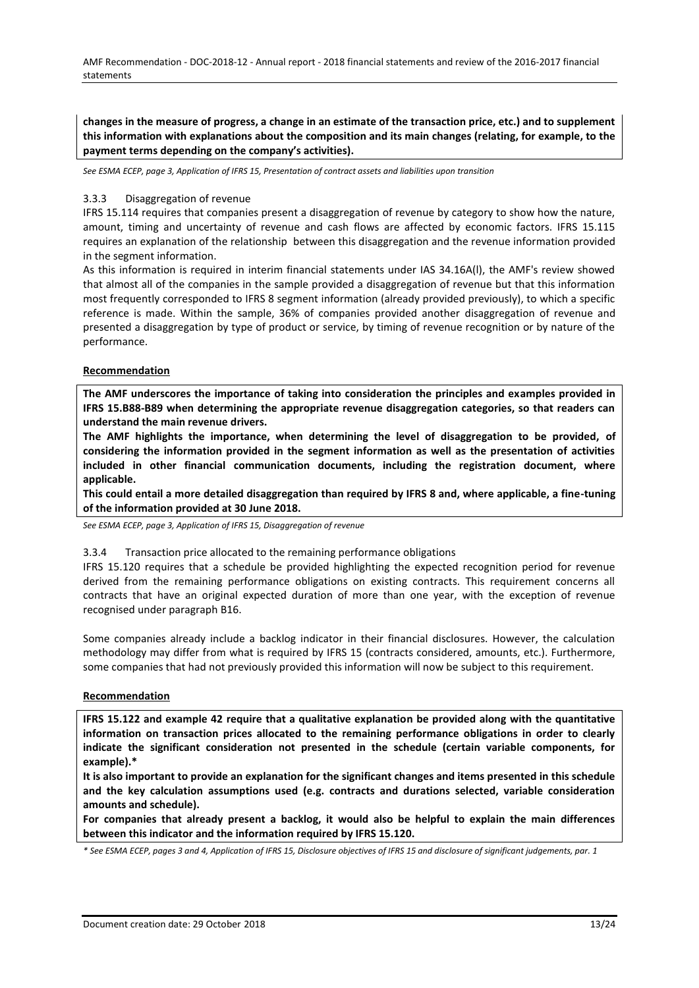**changes in the measure of progress, a change in an estimate of the transaction price, etc.) and to supplement this information with explanations about the composition and its main changes (relating, for example, to the payment terms depending on the company's activities).** 

*See ESMA ECEP, page 3, Application of IFRS 15, Presentation of contract assets and liabilities upon transition* 

#### <span id="page-12-0"></span>3.3.3 Disaggregation of revenue

IFRS 15.114 requires that companies present a disaggregation of revenue by category to show how the nature, amount, timing and uncertainty of revenue and cash flows are affected by economic factors. IFRS 15.115 requires an explanation of the relationship between this disaggregation and the revenue information provided in the segment information.

As this information is required in interim financial statements under IAS 34.16A(l), the AMF's review showed that almost all of the companies in the sample provided a disaggregation of revenue but that this information most frequently corresponded to IFRS 8 segment information (already provided previously), to which a specific reference is made. Within the sample, 36% of companies provided another disaggregation of revenue and presented a disaggregation by type of product or service, by timing of revenue recognition or by nature of the performance.

#### **Recommendation**

**The AMF underscores the importance of taking into consideration the principles and examples provided in IFRS 15.B88-B89 when determining the appropriate revenue disaggregation categories, so that readers can understand the main revenue drivers.** 

**The AMF highlights the importance, when determining the level of disaggregation to be provided, of considering the information provided in the segment information as well as the presentation of activities included in other financial communication documents, including the registration document, where applicable.**

**This could entail a more detailed disaggregation than required by IFRS 8 and, where applicable, a fine-tuning of the information provided at 30 June 2018.**

*See ESMA ECEP, page 3, Application of IFRS 15, Disaggregation of revenue*

#### <span id="page-12-1"></span>3.3.4 Transaction price allocated to the remaining performance obligations

IFRS 15.120 requires that a schedule be provided highlighting the expected recognition period for revenue derived from the remaining performance obligations on existing contracts. This requirement concerns all contracts that have an original expected duration of more than one year, with the exception of revenue recognised under paragraph B16.

Some companies already include a backlog indicator in their financial disclosures. However, the calculation methodology may differ from what is required by IFRS 15 (contracts considered, amounts, etc.). Furthermore, some companies that had not previously provided this information will now be subject to this requirement.

#### **Recommendation**

**IFRS 15.122 and example 42 require that a qualitative explanation be provided along with the quantitative information on transaction prices allocated to the remaining performance obligations in order to clearly indicate the significant consideration not presented in the schedule (certain variable components, for example).\***

**It is also important to provide an explanation for the significant changes and items presented in this schedule and the key calculation assumptions used (e.g. contracts and durations selected, variable consideration amounts and schedule).**

**For companies that already present a backlog, it would also be helpful to explain the main differences between this indicator and the information required by IFRS 15.120.**

*\* See ESMA ECEP, pages 3 and 4, Application of IFRS 15, Disclosure objectives of IFRS 15 and disclosure of significant judgements, par. 1*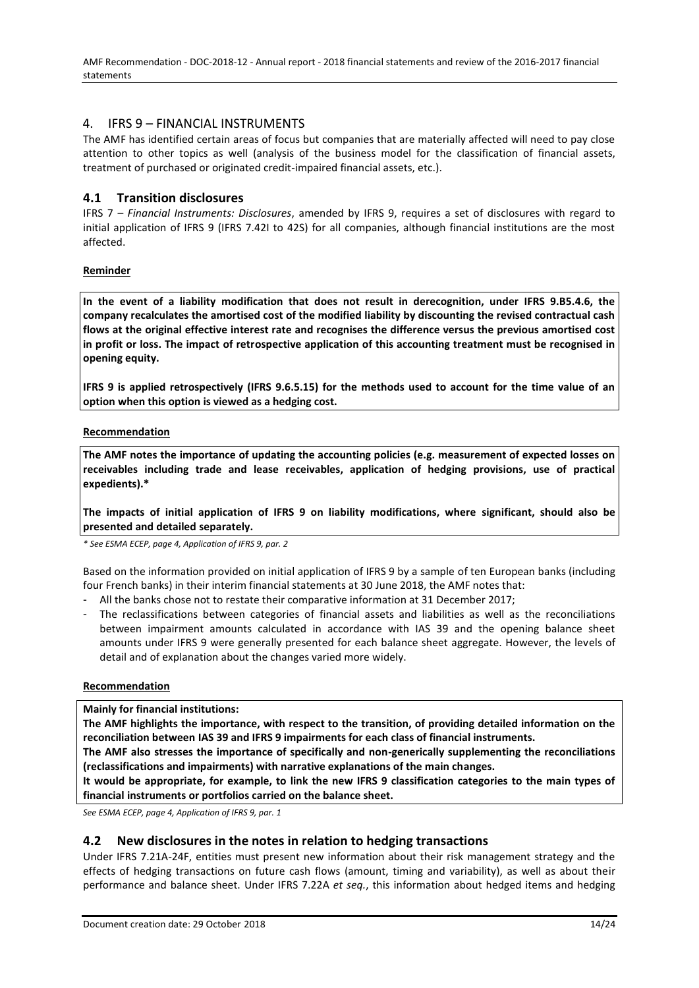AMF Recommendation - DOC-2018-12 - Annual report - 2018 financial statements and review of the 2016-2017 financial statements

## <span id="page-13-0"></span>4. IFRS 9 – FINANCIAL INSTRUMENTS

The AMF has identified certain areas of focus but companies that are materially affected will need to pay close attention to other topics as well (analysis of the business model for the classification of financial assets, treatment of purchased or originated credit-impaired financial assets, etc.).

# <span id="page-13-1"></span>**4.1 Transition disclosures**

IFRS 7 – *Financial Instruments: Disclosures*, amended by IFRS 9, requires a set of disclosures with regard to initial application of IFRS 9 (IFRS 7.42I to 42S) for all companies, although financial institutions are the most affected.

### **Reminder**

**In the event of a liability modification that does not result in derecognition, under IFRS 9.B5.4.6, the company recalculates the amortised cost of the modified liability by discounting the revised contractual cash flows at the original effective interest rate and recognises the difference versus the previous amortised cost in profit or loss. The impact of retrospective application of this accounting treatment must be recognised in opening equity.**

**IFRS 9 is applied retrospectively (IFRS 9.6.5.15) for the methods used to account for the time value of an option when this option is viewed as a hedging cost.** 

#### **Recommendation**

**The AMF notes the importance of updating the accounting policies (e.g. measurement of expected losses on receivables including trade and lease receivables, application of hedging provisions, use of practical expedients).\***

**The impacts of initial application of IFRS 9 on liability modifications, where significant, should also be presented and detailed separately.**

*\* See ESMA ECEP, page 4, Application of IFRS 9, par. 2*

Based on the information provided on initial application of IFRS 9 by a sample of ten European banks (including four French banks) in their interim financial statements at 30 June 2018, the AMF notes that:

- All the banks chose not to restate their comparative information at 31 December 2017;
- The reclassifications between categories of financial assets and liabilities as well as the reconciliations between impairment amounts calculated in accordance with IAS 39 and the opening balance sheet amounts under IFRS 9 were generally presented for each balance sheet aggregate. However, the levels of detail and of explanation about the changes varied more widely.

#### **Recommendation**

**Mainly for financial institutions:**

**The AMF highlights the importance, with respect to the transition, of providing detailed information on the reconciliation between IAS 39 and IFRS 9 impairments for each class of financial instruments.**

**The AMF also stresses the importance of specifically and non-generically supplementing the reconciliations (reclassifications and impairments) with narrative explanations of the main changes.**

**It would be appropriate, for example, to link the new IFRS 9 classification categories to the main types of financial instruments or portfolios carried on the balance sheet.**

*See ESMA ECEP, page 4, Application of IFRS 9, par. 1*

## <span id="page-13-2"></span>**4.2 New disclosures in the notes in relation to hedging transactions**

Under IFRS 7.21A-24F, entities must present new information about their risk management strategy and the effects of hedging transactions on future cash flows (amount, timing and variability), as well as about their performance and balance sheet. Under IFRS 7.22A *et seq.*, this information about hedged items and hedging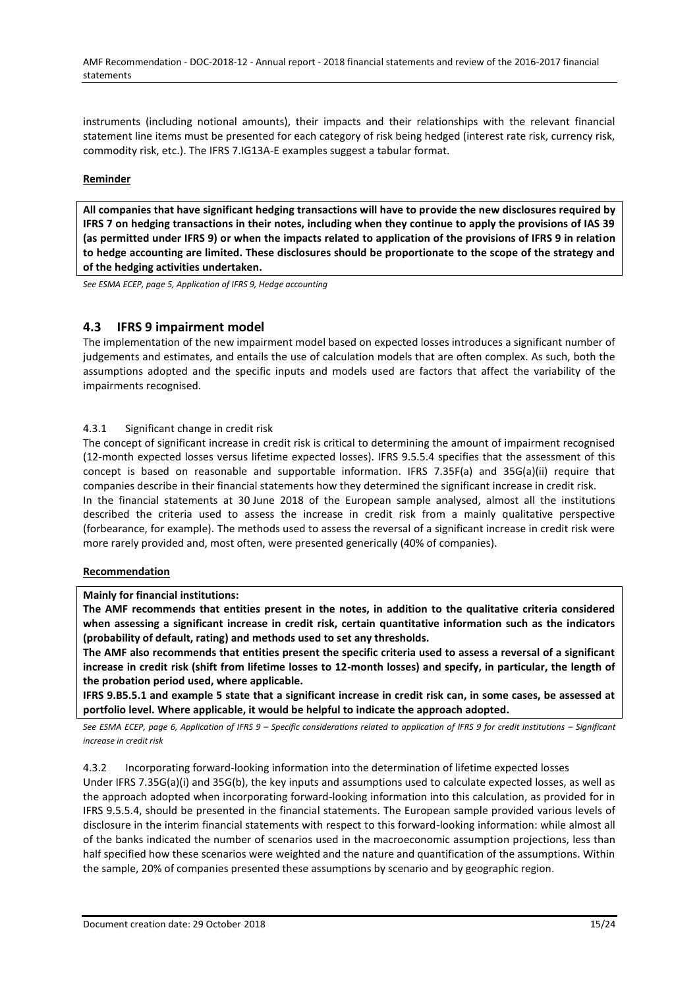instruments (including notional amounts), their impacts and their relationships with the relevant financial statement line items must be presented for each category of risk being hedged (interest rate risk, currency risk, commodity risk, etc.). The IFRS 7.IG13A-E examples suggest a tabular format.

### **Reminder**

**All companies that have significant hedging transactions will have to provide the new disclosures required by IFRS 7 on hedging transactions in their notes, including when they continue to apply the provisions of IAS 39 (as permitted under IFRS 9) or when the impacts related to application of the provisions of IFRS 9 in relation to hedge accounting are limited. These disclosures should be proportionate to the scope of the strategy and of the hedging activities undertaken.**

*See ESMA ECEP, page 5, Application of IFRS 9, Hedge accounting*

## <span id="page-14-0"></span>**4.3 IFRS 9 impairment model**

The implementation of the new impairment model based on expected losses introduces a significant number of judgements and estimates, and entails the use of calculation models that are often complex. As such, both the assumptions adopted and the specific inputs and models used are factors that affect the variability of the impairments recognised.

## <span id="page-14-1"></span>4.3.1 Significant change in credit risk

The concept of significant increase in credit risk is critical to determining the amount of impairment recognised (12-month expected losses versus lifetime expected losses). IFRS 9.5.5.4 specifies that the assessment of this concept is based on reasonable and supportable information. IFRS 7.35F(a) and 35G(a)(ii) require that companies describe in their financial statements how they determined the significant increase in credit risk. In the financial statements at 30 June 2018 of the European sample analysed, almost all the institutions described the criteria used to assess the increase in credit risk from a mainly qualitative perspective (forbearance, for example). The methods used to assess the reversal of a significant increase in credit risk were more rarely provided and, most often, were presented generically (40% of companies).

#### **Recommendation**

#### **Mainly for financial institutions:**

**The AMF recommends that entities present in the notes, in addition to the qualitative criteria considered when assessing a significant increase in credit risk, certain quantitative information such as the indicators (probability of default, rating) and methods used to set any thresholds.** 

**The AMF also recommends that entities present the specific criteria used to assess a reversal of a significant increase in credit risk (shift from lifetime losses to 12-month losses) and specify, in particular, the length of the probation period used, where applicable.** 

**IFRS 9.B5.5.1 and example 5 state that a significant increase in credit risk can, in some cases, be assessed at portfolio level. Where applicable, it would be helpful to indicate the approach adopted.** 

*See ESMA ECEP, page 6, Application of IFRS 9 – Specific considerations related to application of IFRS 9 for credit institutions – Significant increase in credit risk*

## <span id="page-14-2"></span>4.3.2 Incorporating forward-looking information into the determination of lifetime expected losses

Under IFRS 7.35G(a)(i) and 35G(b), the key inputs and assumptions used to calculate expected losses, as well as the approach adopted when incorporating forward-looking information into this calculation, as provided for in IFRS 9.5.5.4, should be presented in the financial statements. The European sample provided various levels of disclosure in the interim financial statements with respect to this forward-looking information: while almost all of the banks indicated the number of scenarios used in the macroeconomic assumption projections, less than half specified how these scenarios were weighted and the nature and quantification of the assumptions. Within the sample, 20% of companies presented these assumptions by scenario and by geographic region.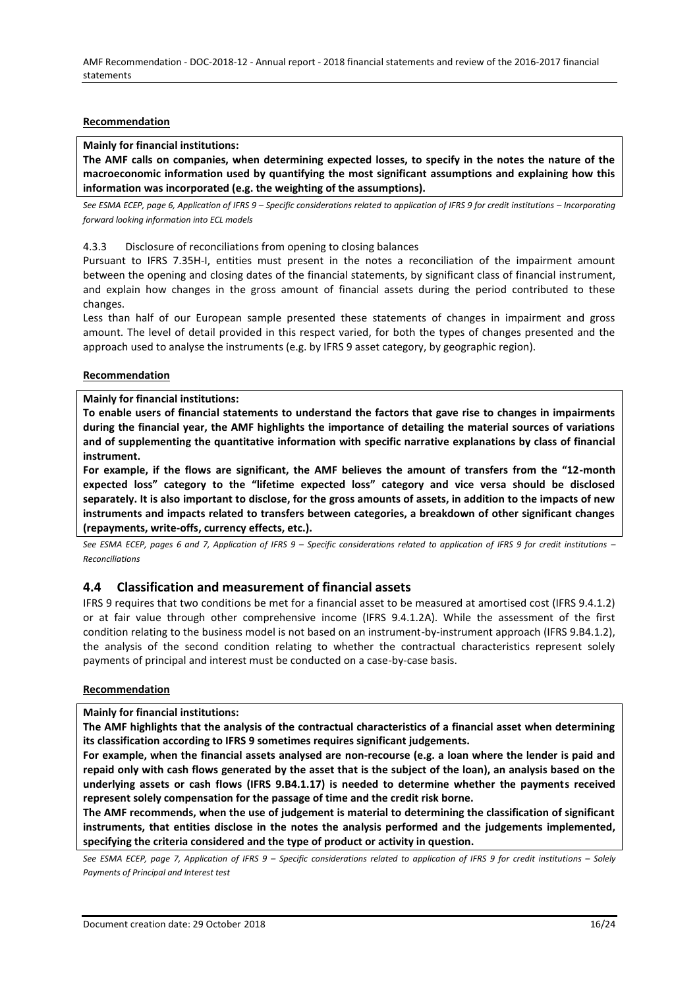### **Recommendation**

## **Mainly for financial institutions:**

**The AMF calls on companies, when determining expected losses, to specify in the notes the nature of the macroeconomic information used by quantifying the most significant assumptions and explaining how this information was incorporated (e.g. the weighting of the assumptions).** 

*See ESMA ECEP, page 6, Application of IFRS 9 – Specific considerations related to application of IFRS 9 for credit institutions – Incorporating forward looking information into ECL models*

#### <span id="page-15-0"></span>4.3.3 Disclosure of reconciliations from opening to closing balances

Pursuant to IFRS 7.35H-I, entities must present in the notes a reconciliation of the impairment amount between the opening and closing dates of the financial statements, by significant class of financial instrument, and explain how changes in the gross amount of financial assets during the period contributed to these changes.

Less than half of our European sample presented these statements of changes in impairment and gross amount. The level of detail provided in this respect varied, for both the types of changes presented and the approach used to analyse the instruments (e.g. by IFRS 9 asset category, by geographic region).

#### **Recommendation**

#### **Mainly for financial institutions:**

**To enable users of financial statements to understand the factors that gave rise to changes in impairments during the financial year, the AMF highlights the importance of detailing the material sources of variations and of supplementing the quantitative information with specific narrative explanations by class of financial instrument.** 

**For example, if the flows are significant, the AMF believes the amount of transfers from the "12-month expected loss" category to the "lifetime expected loss" category and vice versa should be disclosed separately. It is also important to disclose, for the gross amounts of assets, in addition to the impacts of new instruments and impacts related to transfers between categories, a breakdown of other significant changes (repayments, write-offs, currency effects, etc.).** 

*See ESMA ECEP, pages 6 and 7, Application of IFRS 9 – Specific considerations related to application of IFRS 9 for credit institutions – Reconciliations*

## <span id="page-15-1"></span>**4.4 Classification and measurement of financial assets**

IFRS 9 requires that two conditions be met for a financial asset to be measured at amortised cost (IFRS 9.4.1.2) or at fair value through other comprehensive income (IFRS 9.4.1.2A). While the assessment of the first condition relating to the business model is not based on an instrument-by-instrument approach (IFRS 9.B4.1.2), the analysis of the second condition relating to whether the contractual characteristics represent solely payments of principal and interest must be conducted on a case-by-case basis.

#### **Recommendation**

#### **Mainly for financial institutions:**

**The AMF highlights that the analysis of the contractual characteristics of a financial asset when determining its classification according to IFRS 9 sometimes requires significant judgements.**

**For example, when the financial assets analysed are non-recourse (e.g. a loan where the lender is paid and repaid only with cash flows generated by the asset that is the subject of the loan), an analysis based on the underlying assets or cash flows (IFRS 9.B4.1.17) is needed to determine whether the payments received represent solely compensation for the passage of time and the credit risk borne.** 

**The AMF recommends, when the use of judgement is material to determining the classification of significant instruments, that entities disclose in the notes the analysis performed and the judgements implemented, specifying the criteria considered and the type of product or activity in question.**

See ESMA ECEP, page 7, Application of IFRS 9 - Specific considerations related to application of IFRS 9 for credit institutions - Solely *Payments of Principal and Interest test*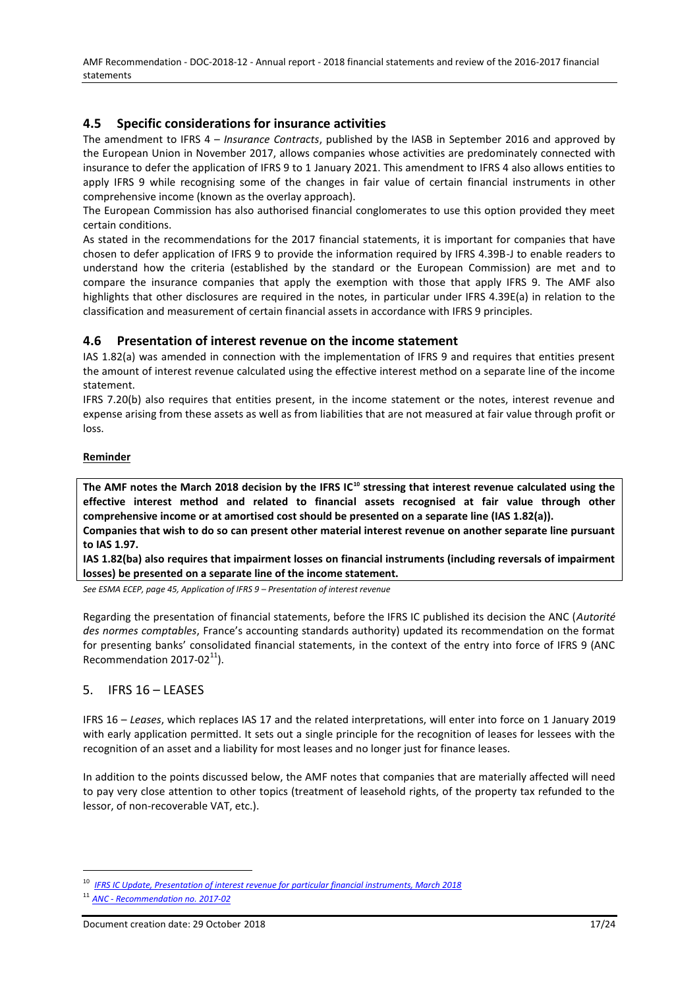AMF Recommendation - DOC-2018-12 - Annual report - 2018 financial statements and review of the 2016-2017 financial statements

# <span id="page-16-0"></span>**4.5 Specific considerations for insurance activities**

The amendment to IFRS 4 – *Insurance Contracts*, published by the IASB in September 2016 and approved by the European Union in November 2017, allows companies whose activities are predominately connected with insurance to defer the application of IFRS 9 to 1 January 2021. This amendment to IFRS 4 also allows entities to apply IFRS 9 while recognising some of the changes in fair value of certain financial instruments in other comprehensive income (known as the overlay approach).

The European Commission has also authorised financial conglomerates to use this option provided they meet certain conditions.

As stated in the recommendations for the 2017 financial statements, it is important for companies that have chosen to defer application of IFRS 9 to provide the information required by IFRS 4.39B-J to enable readers to understand how the criteria (established by the standard or the European Commission) are met and to compare the insurance companies that apply the exemption with those that apply IFRS 9. The AMF also highlights that other disclosures are required in the notes, in particular under IFRS 4.39E(a) in relation to the classification and measurement of certain financial assets in accordance with IFRS 9 principles.

## <span id="page-16-1"></span>**4.6 Presentation of interest revenue on the income statement**

IAS 1.82(a) was amended in connection with the implementation of IFRS 9 and requires that entities present the amount of interest revenue calculated using the effective interest method on a separate line of the income statement.

IFRS 7.20(b) also requires that entities present, in the income statement or the notes, interest revenue and expense arising from these assets as well as from liabilities that are not measured at fair value through profit or loss.

### **Reminder**

**The AMF notes the March 2018 decision by the IFRS IC<sup>10</sup> stressing that interest revenue calculated using the effective interest method and related to financial assets recognised at fair value through other comprehensive income or at amortised cost should be presented on a separate line (IAS 1.82(a)).**

**Companies that wish to do so can present other material interest revenue on another separate line pursuant to IAS 1.97.**

**IAS 1.82(ba) also requires that impairment losses on financial instruments (including reversals of impairment losses) be presented on a separate line of the income statement.**

*See ESMA ECEP, page 45, Application of IFRS 9 – Presentation of interest revenue*

Regarding the presentation of financial statements, before the IFRS IC published its decision the ANC (*Autorité des normes comptables*, France's accounting standards authority) updated its recommendation on the format for presenting banks' consolidated financial statements, in the context of the entry into force of IFRS 9 (ANC Recommendation  $2017-02^{11}$ ).

## <span id="page-16-2"></span>5. IFRS 16 – LEASES

IFRS 16 – *Leases*, which replaces IAS 17 and the related interpretations, will enter into force on 1 January 2019 with early application permitted. It sets out a single principle for the recognition of leases for lessees with the recognition of an asset and a liability for most leases and no longer just for finance leases.

In addition to the points discussed below, the AMF notes that companies that are materially affected will need to pay very close attention to other topics (treatment of leasehold rights, of the property tax refunded to the lessor, of non-recoverable VAT, etc.).

**IFRS IC [Update, Presentation of interest revenue for particular financial instruments, March 2018](https://www.ifrs.org/news-and-events/updates/ifric-updates/march-2018/#7)** 

<sup>11</sup> *ANC - [Recommendation no.](http://www.anc.gouv.fr/files/live/sites/anc/files/contributed/ANC/1.%20Normes%20françaises/Recommandations/RECO2017/Recommantation_%202017-02.pdf) 2017-02*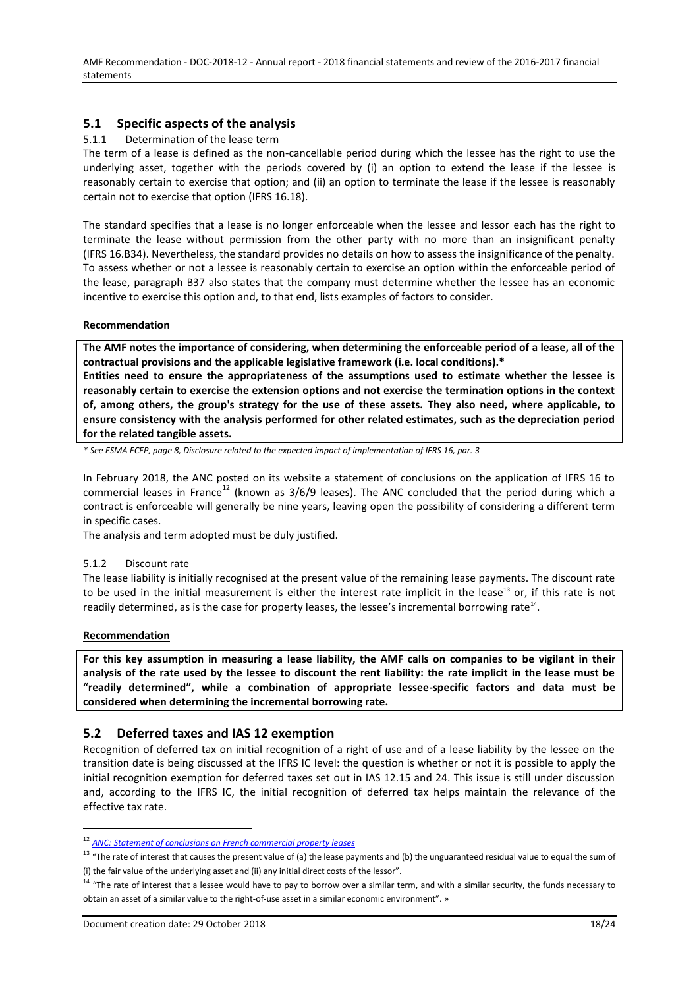# **5.1 Specific aspects of the analysis**

#### <span id="page-17-0"></span>5.1.1 Determination of the lease term

The term of a lease is defined as the non-cancellable period during which the lessee has the right to use the underlying asset, together with the periods covered by (i) an option to extend the lease if the lessee is reasonably certain to exercise that option; and (ii) an option to terminate the lease if the lessee is reasonably certain not to exercise that option (IFRS 16.18).

The standard specifies that a lease is no longer enforceable when the lessee and lessor each has the right to terminate the lease without permission from the other party with no more than an insignificant penalty (IFRS 16.B34). Nevertheless, the standard provides no details on how to assess the insignificance of the penalty. To assess whether or not a lessee is reasonably certain to exercise an option within the enforceable period of the lease, paragraph B37 also states that the company must determine whether the lessee has an economic incentive to exercise this option and, to that end, lists examples of factors to consider.

#### **Recommendation**

**The AMF notes the importance of considering, when determining the enforceable period of a lease, all of the contractual provisions and the applicable legislative framework (i.e. local conditions).\***

**Entities need to ensure the appropriateness of the assumptions used to estimate whether the lessee is reasonably certain to exercise the extension options and not exercise the termination options in the context of, among others, the group's strategy for the use of these assets. They also need, where applicable, to ensure consistency with the analysis performed for other related estimates, such as the depreciation period for the related tangible assets.**

*\* See ESMA ECEP, page 8, Disclosure related to the expected impact of implementation of IFRS 16, par. 3*

In February 2018, the ANC posted on its website a statement of conclusions on the application of IFRS 16 to commercial leases in France<sup>12</sup> (known as  $3/6/9$  leases). The ANC concluded that the period during which a contract is enforceable will generally be nine years, leaving open the possibility of considering a different term in specific cases.

The analysis and term adopted must be duly justified.

#### <span id="page-17-1"></span>5.1.2 Discount rate

The lease liability is initially recognised at the present value of the remaining lease payments. The discount rate to be used in the initial measurement is either the interest rate implicit in the lease<sup>13</sup> or, if this rate is not readily determined, as is the case for property leases, the lessee's incremental borrowing rate<sup>14</sup>.

#### **Recommendation**

 $\overline{a}$ 

**For this key assumption in measuring a lease liability, the AMF calls on companies to be vigilant in their analysis of the rate used by the lessee to discount the rent liability: the rate implicit in the lease must be "readily determined", while a combination of appropriate lessee-specific factors and data must be considered when determining the incremental borrowing rate.**

# <span id="page-17-2"></span>**5.2 Deferred taxes and IAS 12 exemption**

Recognition of deferred tax on initial recognition of a right of use and of a lease liability by the lessee on the transition date is being discussed at the IFRS IC level: the question is whether or not it is possible to apply the initial recognition exemption for deferred taxes set out in IAS 12.15 and 24. This issue is still under discussion and, according to the IFRS IC, the initial recognition of deferred tax helps maintain the relevance of the effective tax rate.

<sup>12</sup> *[ANC:](http://www.anc.gouv.fr/files/live/sites/anc/files/contributed/ANC/2.%20Normes%20internationales/NI%202018/Relevé-de-conclusions_Baux%20commerciaux%20français_fév2018.pdf) [Statement of conclusions on French commercial property leases](http://www.anc.gouv.fr/files/live/sites/anc/files/contributed/ANC/2.%20Normes%20internationales/NI%202018/Relevé-de-conclusions_Baux%20commerciaux%20français_fév2018.pdf)*

 $13$  "The rate of interest that causes the present value of (a) the lease payments and (b) the unguaranteed residual value to equal the sum of (i) the fair value of the underlying asset and (ii) any initial direct costs of the lessor".

 $14$  "The rate of interest that a lessee would have to pay to borrow over a similar term, and with a similar security, the funds necessary to obtain an asset of a similar value to the right-of-use asset in a similar economic environment". »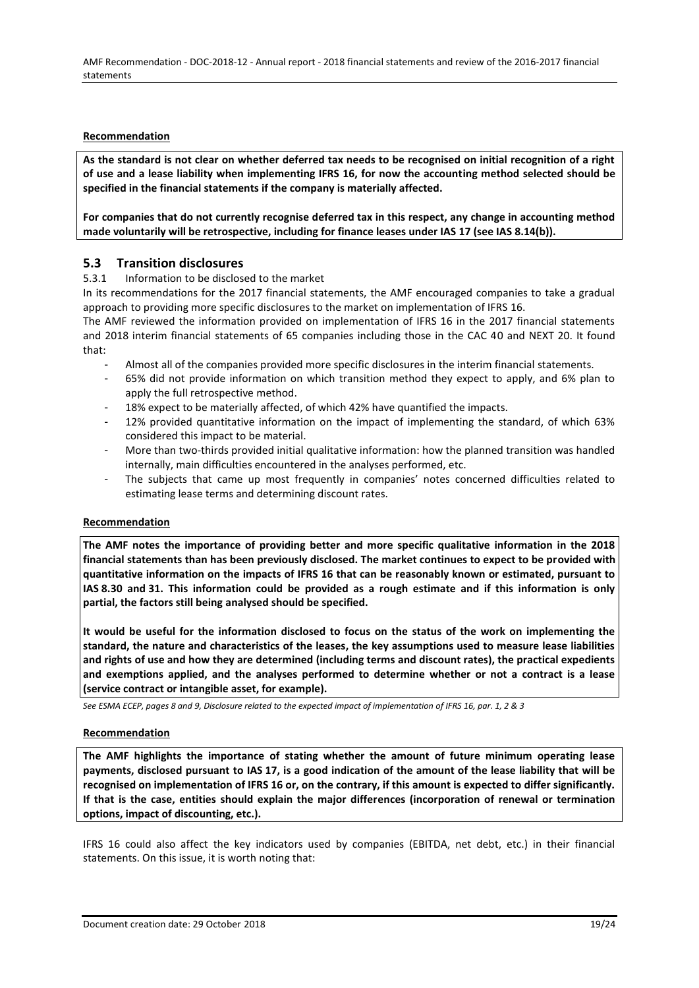### **Recommendation**

**As the standard is not clear on whether deferred tax needs to be recognised on initial recognition of a right of use and a lease liability when implementing IFRS 16, for now the accounting method selected should be specified in the financial statements if the company is materially affected.**

**For companies that do not currently recognise deferred tax in this respect, any change in accounting method made voluntarily will be retrospective, including for finance leases under IAS 17 (see IAS 8.14(b)).** 

# <span id="page-18-0"></span>**5.3 Transition disclosures**

### <span id="page-18-1"></span>5.3.1 Information to be disclosed to the market

In its recommendations for the 2017 financial statements, the AMF encouraged companies to take a gradual approach to providing more specific disclosures to the market on implementation of IFRS 16.

The AMF reviewed the information provided on implementation of IFRS 16 in the 2017 financial statements and 2018 interim financial statements of 65 companies including those in the CAC 40 and NEXT 20. It found that:

- Almost all of the companies provided more specific disclosures in the interim financial statements.
- 65% did not provide information on which transition method they expect to apply, and 6% plan to apply the full retrospective method.
- 18% expect to be materially affected, of which 42% have quantified the impacts.
- 12% provided quantitative information on the impact of implementing the standard, of which 63% considered this impact to be material.
- More than two-thirds provided initial qualitative information: how the planned transition was handled internally, main difficulties encountered in the analyses performed, etc.
- The subjects that came up most frequently in companies' notes concerned difficulties related to estimating lease terms and determining discount rates.

#### **Recommendation**

**The AMF notes the importance of providing better and more specific qualitative information in the 2018 financial statements than has been previously disclosed. The market continues to expect to be provided with quantitative information on the impacts of IFRS 16 that can be reasonably known or estimated, pursuant to IAS 8.30 and 31. This information could be provided as a rough estimate and if this information is only partial, the factors still being analysed should be specified.**

**It would be useful for the information disclosed to focus on the status of the work on implementing the standard, the nature and characteristics of the leases, the key assumptions used to measure lease liabilities and rights of use and how they are determined (including terms and discount rates), the practical expedients and exemptions applied, and the analyses performed to determine whether or not a contract is a lease (service contract or intangible asset, for example).**

*See ESMA ECEP, pages 8 and 9, Disclosure related to the expected impact of implementation of IFRS 16, par. 1, 2 & 3*

#### **Recommendation**

**The AMF highlights the importance of stating whether the amount of future minimum operating lease payments, disclosed pursuant to IAS 17, is a good indication of the amount of the lease liability that will be recognised on implementation of IFRS 16 or, on the contrary, if this amount is expected to differ significantly. If that is the case, entities should explain the major differences (incorporation of renewal or termination options, impact of discounting, etc.).**

IFRS 16 could also affect the key indicators used by companies (EBITDA, net debt, etc.) in their financial statements. On this issue, it is worth noting that: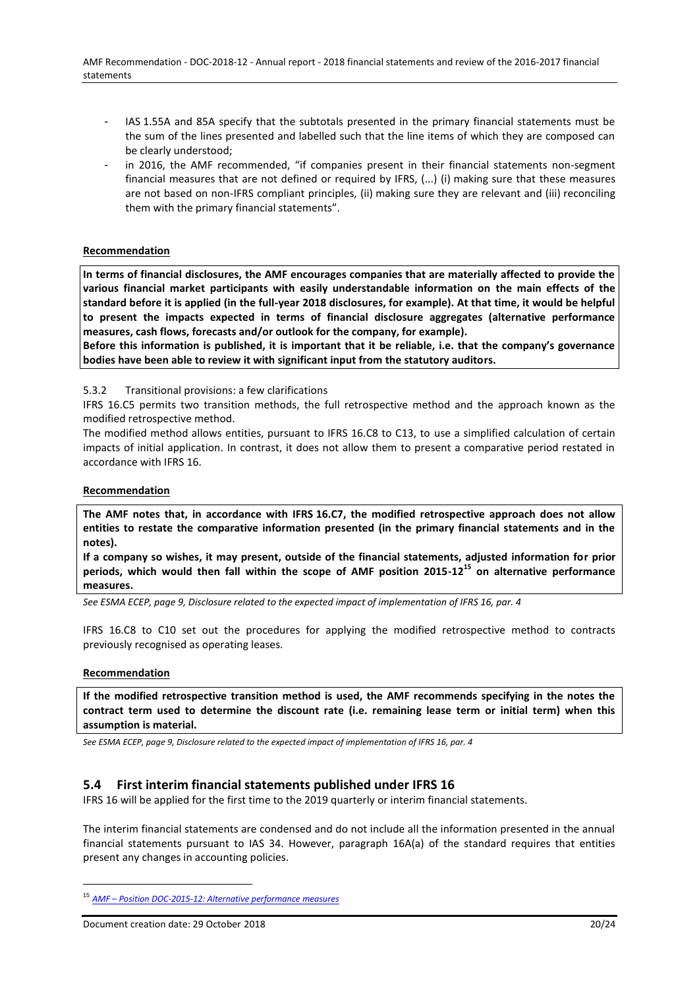- IAS 1.55A and 85A specify that the subtotals presented in the primary financial statements must be the sum of the lines presented and labelled such that the line items of which they are composed can be clearly understood;
- in 2016, the AMF recommended, "if companies present in their financial statements non-segment financial measures that are not defined or required by IFRS, (...) (i) making sure that these measures are not based on non-IFRS compliant principles, (ii) making sure they are relevant and (iii) reconciling them with the primary financial statements".

### **Recommendation**

**In terms of financial disclosures, the AMF encourages companies that are materially affected to provide the various financial market participants with easily understandable information on the main effects of the standard before it is applied (in the full-year 2018 disclosures, for example). At that time, it would be helpful to present the impacts expected in terms of financial disclosure aggregates (alternative performance measures, cash flows, forecasts and/or outlook for the company, for example).** 

**Before this information is published, it is important that it be reliable, i.e. that the company's governance bodies have been able to review it with significant input from the statutory auditors.**

#### <span id="page-19-0"></span>5.3.2 Transitional provisions: a few clarifications

IFRS 16.C5 permits two transition methods, the full retrospective method and the approach known as the modified retrospective method.

The modified method allows entities, pursuant to IFRS 16.C8 to C13, to use a simplified calculation of certain impacts of initial application. In contrast, it does not allow them to present a comparative period restated in accordance with IFRS 16.

#### **Recommendation**

**The AMF notes that, in accordance with IFRS 16.C7, the modified retrospective approach does not allow entities to restate the comparative information presented (in the primary financial statements and in the notes).**

**If a company so wishes, it may present, outside of the financial statements, adjusted information for prior periods, which would then fall within the scope of AMF position 2015-12<sup>15</sup> on alternative performance measures.**

*See ESMA ECEP, page 9, Disclosure related to the expected impact of implementation of IFRS 16, par. 4*

IFRS 16.C8 to C10 set out the procedures for applying the modified retrospective method to contracts previously recognised as operating leases.

#### **Recommendation**

 $\overline{a}$ 

**If the modified retrospective transition method is used, the AMF recommends specifying in the notes the contract term used to determine the discount rate (i.e. remaining lease term or initial term) when this assumption is material.** 

*See ESMA ECEP, page 9, Disclosure related to the expected impact of implementation of IFRS 16, par. 4*

## <span id="page-19-1"></span>**5.4 First interim financial statements published under IFRS 16**

IFRS 16 will be applied for the first time to the 2019 quarterly or interim financial statements.

The interim financial statements are condensed and do not include all the information presented in the annual financial statements pursuant to IAS 34. However, paragraph 16A(a) of the standard requires that entities present any changes in accounting policies.

<sup>15</sup> *AMF – [Position DOC-2015-12:](https://www.amf-france.org/Reglementation/Doctrine/Doctrine-list/Doctrine?docId=workspace://SpacesStore/26cd1187-5ba7-44d9-89cc-f74d796332f2&category=I+-+Emetteurs+et+information+financière) [Alternative performance measures](https://www.amf-france.org/Reglementation/Doctrine/Doctrine-list/Doctrine?docId=workspace://SpacesStore/26cd1187-5ba7-44d9-89cc-f74d796332f2&category=I+-+Emetteurs+et+information+financière)*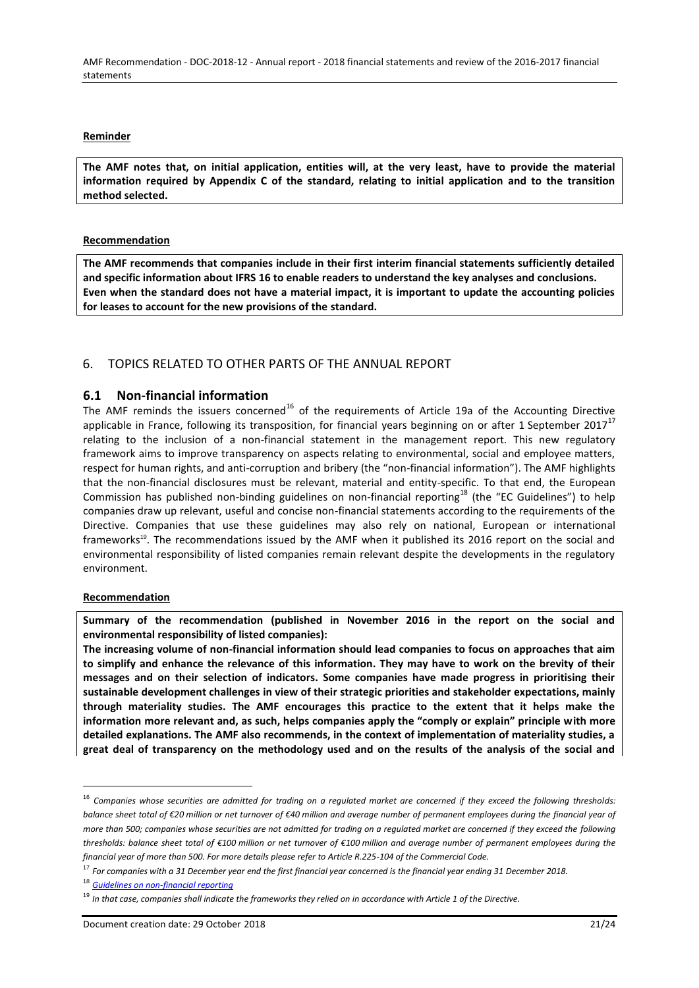AMF Recommendation - DOC-2018-12 - Annual report - 2018 financial statements and review of the 2016-2017 financial statements

#### **Reminder**

**The AMF notes that, on initial application, entities will, at the very least, have to provide the material information required by Appendix C of the standard, relating to initial application and to the transition method selected.**

#### **Recommendation**

**The AMF recommends that companies include in their first interim financial statements sufficiently detailed and specific information about IFRS 16 to enable readers to understand the key analyses and conclusions. Even when the standard does not have a material impact, it is important to update the accounting policies for leases to account for the new provisions of the standard.**

# <span id="page-20-0"></span>6. TOPICS RELATED TO OTHER PARTS OF THE ANNUAL REPORT

## <span id="page-20-1"></span>**6.1 Non-financial information**

The AMF reminds the issuers concerned<sup>16</sup> of the requirements of Article 19a of the Accounting Directive applicable in France, following its transposition, for financial years beginning on or after 1 September 2017 $^{17}$ relating to the inclusion of a non-financial statement in the management report. This new regulatory framework aims to improve transparency on aspects relating to environmental, social and employee matters, respect for human rights, and anti-corruption and bribery (the "non-financial information"). The AMF highlights that the non-financial disclosures must be relevant, material and entity-specific. To that end, the European Commission has published non-binding guidelines on non-financial reporting<sup>18</sup> (the "EC Guidelines") to help companies draw up relevant, useful and concise non-financial statements according to the requirements of the Directive. Companies that use these guidelines may also rely on national, European or international frameworks<sup>19</sup>. The recommendations issued by the AMF when it published its 2016 report on the social and environmental responsibility of listed companies remain relevant despite the developments in the regulatory environment.

#### **Recommendation**

 $\overline{a}$ 

**Summary of the recommendation (published in November 2016 in the report on the social and environmental responsibility of listed companies):**

**The increasing volume of non-financial information should lead companies to focus on approaches that aim to simplify and enhance the relevance of this information. They may have to work on the brevity of their messages and on their selection of indicators. Some companies have made progress in prioritising their sustainable development challenges in view of their strategic priorities and stakeholder expectations, mainly through materiality studies. The AMF encourages this practice to the extent that it helps make the information more relevant and, as such, helps companies apply the "comply or explain" principle with more detailed explanations. The AMF also recommends, in the context of implementation of materiality studies, a great deal of transparency on the methodology used and on the results of the analysis of the social and** 

<sup>16</sup> *Companies whose securities are admitted for trading on a regulated market are concerned if they exceed the following thresholds: balance sheet total of €20 million or net turnover of €40 million and average number of permanent employees during the financial year of more than 500; companies whose securities are not admitted for trading on a regulated market are concerned if they exceed the following thresholds: balance sheet total of €100 million or net turnover of €100 million and average number of permanent employees during the financial year of more than 500. For more details please refer to Article R.225-104 of the Commercial Code.*

<sup>17</sup> *For companies with a 31 December year end the first financial year concerned is the financial year ending 31 December 2018.*

<sup>18</sup> *[Guidelines on non-financial reporting](https://eur-lex.europa.eu/legal-content/FR/TXT/PDF/?uri=CELEX:52017XC0705(01)&from=EN)*

<sup>19</sup> *In that case, companies shall indicate the frameworks they relied on in accordance with Article 1 of the Directive.*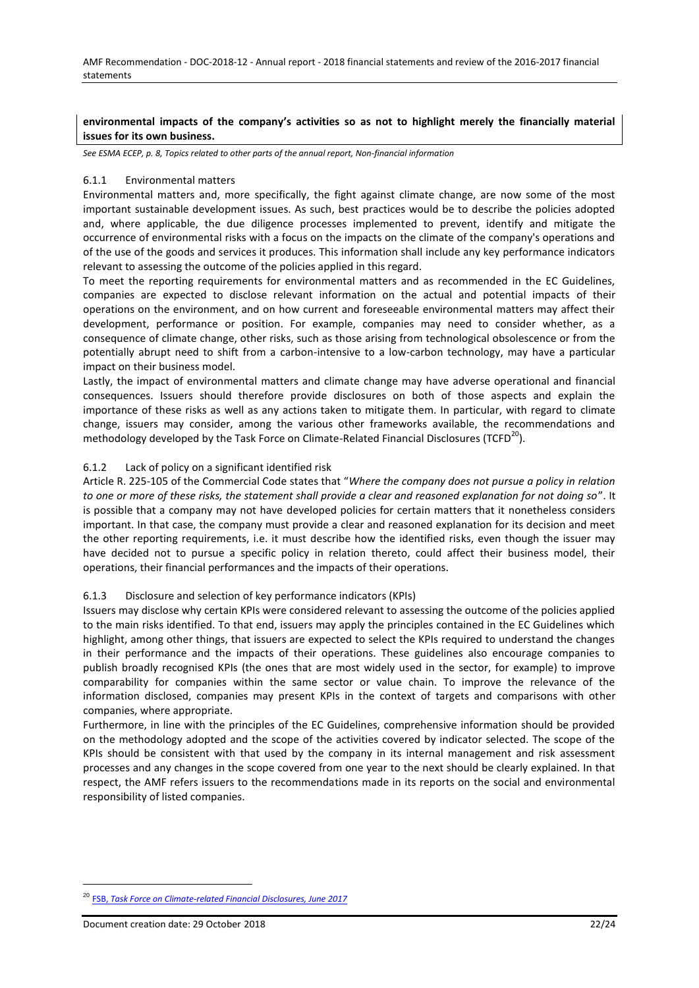### **environmental impacts of the company's activities so as not to highlight merely the financially material issues for its own business.**

*See ESMA ECEP, p. 8, Topics related to other parts of the annual report, Non-financial information*

#### <span id="page-21-0"></span>6.1.1 Environmental matters

Environmental matters and, more specifically, the fight against climate change, are now some of the most important sustainable development issues. As such, best practices would be to describe the policies adopted and, where applicable, the due diligence processes implemented to prevent, identify and mitigate the occurrence of environmental risks with a focus on the impacts on the climate of the company's operations and of the use of the goods and services it produces. This information shall include any key performance indicators relevant to assessing the outcome of the policies applied in this regard.

To meet the reporting requirements for environmental matters and as recommended in the EC Guidelines, companies are expected to disclose relevant information on the actual and potential impacts of their operations on the environment, and on how current and foreseeable environmental matters may affect their development, performance or position. For example, companies may need to consider whether, as a consequence of climate change, other risks, such as those arising from technological obsolescence or from the potentially abrupt need to shift from a carbon-intensive to a low-carbon technology, may have a particular impact on their business model.

Lastly, the impact of environmental matters and climate change may have adverse operational and financial consequences. Issuers should therefore provide disclosures on both of those aspects and explain the importance of these risks as well as any actions taken to mitigate them. In particular, with regard to climate change, issuers may consider, among the various other frameworks available, the recommendations and methodology developed by the Task Force on Climate-Related Financial Disclosures (TCFD<sup>20</sup>).

### <span id="page-21-1"></span>6.1.2 Lack of policy on a significant identified risk

Article R. 225-105 of the Commercial Code states that "*Where the company does not pursue a policy in relation to one or more of these risks, the statement shall provide a clear and reasoned explanation for not doing so*". It is possible that a company may not have developed policies for certain matters that it nonetheless considers important. In that case, the company must provide a clear and reasoned explanation for its decision and meet the other reporting requirements, i.e. it must describe how the identified risks, even though the issuer may have decided not to pursue a specific policy in relation thereto, could affect their business model, their operations, their financial performances and the impacts of their operations.

#### <span id="page-21-2"></span>6.1.3 Disclosure and selection of key performance indicators (KPIs)

Issuers may disclose why certain KPIs were considered relevant to assessing the outcome of the policies applied to the main risks identified. To that end, issuers may apply the principles contained in the EC Guidelines which highlight, among other things, that issuers are expected to select the KPIs required to understand the changes in their performance and the impacts of their operations. These guidelines also encourage companies to publish broadly recognised KPIs (the ones that are most widely used in the sector, for example) to improve comparability for companies within the same sector or value chain. To improve the relevance of the information disclosed, companies may present KPIs in the context of targets and comparisons with other companies, where appropriate.

Furthermore, in line with the principles of the EC Guidelines, comprehensive information should be provided on the methodology adopted and the scope of the activities covered by indicator selected. The scope of the KPIs should be consistent with that used by the company in its internal management and risk assessment processes and any changes in the scope covered from one year to the next should be clearly explained. In that respect, the AMF refers issuers to the recommendations made in its reports on the social and environmental responsibility of listed companies.

<sup>20</sup> FSB, *[Task Force on Climate-related Financial Disclosures, June 2017](https://www.fsb-tcfd.org/wp-content/uploads/2017/06/FINAL-TCFD-Report-062817.pdf)*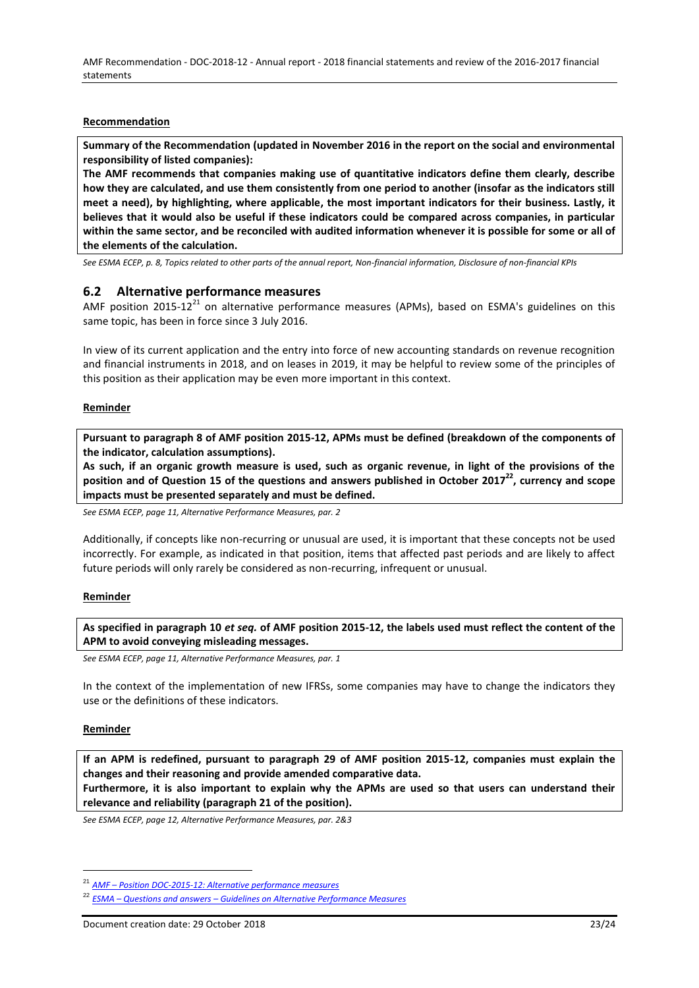### **Recommendation**

**Summary of the Recommendation (updated in November 2016 in the report on the social and environmental responsibility of listed companies):**

**The AMF recommends that companies making use of quantitative indicators define them clearly, describe how they are calculated, and use them consistently from one period to another (insofar as the indicators still meet a need), by highlighting, where applicable, the most important indicators for their business. Lastly, it believes that it would also be useful if these indicators could be compared across companies, in particular within the same sector, and be reconciled with audited information whenever it is possible for some or all of the elements of the calculation.**

*See ESMA ECEP, p. 8, Topics related to other parts of the annual report, Non-financial information, Disclosure of non-financial KPIs* 

## <span id="page-22-0"></span>**6.2 Alternative performance measures**

AMF position 2015-12 $^{21}$  on alternative performance measures (APMs), based on ESMA's guidelines on this same topic, has been in force since 3 July 2016.

In view of its current application and the entry into force of new accounting standards on revenue recognition and financial instruments in 2018, and on leases in 2019, it may be helpful to review some of the principles of this position as their application may be even more important in this context.

#### **Reminder**

**Pursuant to paragraph 8 of AMF position 2015-12, APMs must be defined (breakdown of the components of the indicator, calculation assumptions).**

**As such, if an organic growth measure is used, such as organic revenue, in light of the provisions of the position and of Question 15 of the questions and answers published in October 2017<sup>22</sup>, currency and scope impacts must be presented separately and must be defined.** 

*See ESMA ECEP, page 11, Alternative Performance Measures, par. 2*

Additionally, if concepts like non-recurring or unusual are used, it is important that these concepts not be used incorrectly. For example, as indicated in that position, items that affected past periods and are likely to affect future periods will only rarely be considered as non-recurring, infrequent or unusual.

#### **Reminder**

**As specified in paragraph 10** *et seq.* **of AMF position 2015-12, the labels used must reflect the content of the APM to avoid conveying misleading messages.**

*See ESMA ECEP, page 11, Alternative Performance Measures, par. 1*

In the context of the implementation of new IFRSs, some companies may have to change the indicators they use or the definitions of these indicators.

#### **Reminder**

 $\overline{a}$ 

**If an APM is redefined, pursuant to paragraph 29 of AMF position 2015-12, companies must explain the changes and their reasoning and provide amended comparative data. Furthermore, it is also important to explain why the APMs are used so that users can understand their** 

**relevance and reliability (paragraph 21 of the position).**

*See ESMA ECEP, page 12, Alternative Performance Measures, par. 2&3*

<sup>21</sup> *AMF – [Position DOC-2015-12:](https://www.amf-france.org/Reglementation/Doctrine/Doctrine-list/Doctrine?docId=workspace://SpacesStore/26cd1187-5ba7-44d9-89cc-f74d796332f2&category=I+-+Emetteurs+et+information+financière) [Alternative performance measures](https://www.amf-france.org/Reglementation/Doctrine/Doctrine-list/Doctrine?docId=workspace://SpacesStore/26cd1187-5ba7-44d9-89cc-f74d796332f2&category=I+-+Emetteurs+et+information+financière)*

<sup>22</sup> *ESMA – Questions and answers – [Guidelines on Alternative Performance Measures](https://www.esma.europa.eu/sites/default/files/library/esma32-51-370_qas_on_esma_guidelines_on_apms.pdf)*